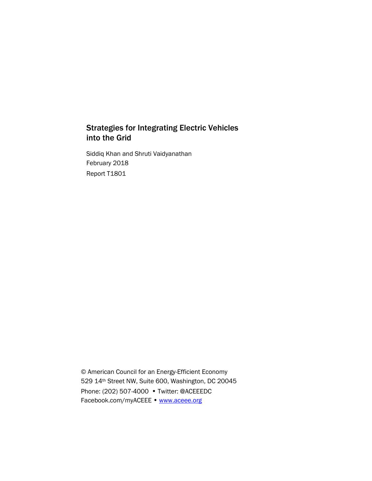# Strategies for Integrating Electric Vehicles into the Grid

Siddiq Khan and Shruti Vaidyanathan February 2018 Report T1801

© American Council for an Energy-Efficient Economy 529 14th Street NW, Suite 600, Washington, DC 20045 Phone: (202) 507-4000 • Twitter: @ACEEEDC Facebook.com/myACEEE • [www.aceee.org](http://www.aceee.org/)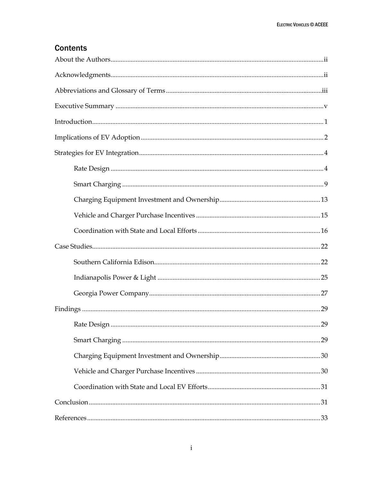# **Contents**

| $\begin{minipage}{0.9\linewidth} \textbf{Execute Summary} \end{minipage} \begin{minipage}{0.9\linewidth} \textbf{if} \begin{minipage}{0.9\linewidth} \textbf{if} \begin{minipage}{0.9\linewidth} \textbf{if} \begin{minipage}{0.9\linewidth} \textbf{if} \begin{minipage}{0.9\linewidth} \textbf{if} \begin{minipage}{0.9\linewidth} \textbf{if} \begin{minipage}{0.9\linewidth} \textbf{if} \begin{minipage}{0.9\linewidth} \textbf{if} \begin{minipage}{0.9\linewidth} \textbf{if} \begin{minipage}{0.9\linewidth} \textbf{if} \begin{$ |     |
|-------------------------------------------------------------------------------------------------------------------------------------------------------------------------------------------------------------------------------------------------------------------------------------------------------------------------------------------------------------------------------------------------------------------------------------------------------------------------------------------------------------------------------------------|-----|
|                                                                                                                                                                                                                                                                                                                                                                                                                                                                                                                                           |     |
|                                                                                                                                                                                                                                                                                                                                                                                                                                                                                                                                           |     |
|                                                                                                                                                                                                                                                                                                                                                                                                                                                                                                                                           |     |
|                                                                                                                                                                                                                                                                                                                                                                                                                                                                                                                                           |     |
|                                                                                                                                                                                                                                                                                                                                                                                                                                                                                                                                           |     |
|                                                                                                                                                                                                                                                                                                                                                                                                                                                                                                                                           |     |
|                                                                                                                                                                                                                                                                                                                                                                                                                                                                                                                                           |     |
|                                                                                                                                                                                                                                                                                                                                                                                                                                                                                                                                           |     |
|                                                                                                                                                                                                                                                                                                                                                                                                                                                                                                                                           |     |
|                                                                                                                                                                                                                                                                                                                                                                                                                                                                                                                                           |     |
|                                                                                                                                                                                                                                                                                                                                                                                                                                                                                                                                           |     |
|                                                                                                                                                                                                                                                                                                                                                                                                                                                                                                                                           |     |
|                                                                                                                                                                                                                                                                                                                                                                                                                                                                                                                                           |     |
|                                                                                                                                                                                                                                                                                                                                                                                                                                                                                                                                           |     |
|                                                                                                                                                                                                                                                                                                                                                                                                                                                                                                                                           |     |
|                                                                                                                                                                                                                                                                                                                                                                                                                                                                                                                                           |     |
|                                                                                                                                                                                                                                                                                                                                                                                                                                                                                                                                           |     |
|                                                                                                                                                                                                                                                                                                                                                                                                                                                                                                                                           |     |
|                                                                                                                                                                                                                                                                                                                                                                                                                                                                                                                                           |     |
|                                                                                                                                                                                                                                                                                                                                                                                                                                                                                                                                           | .33 |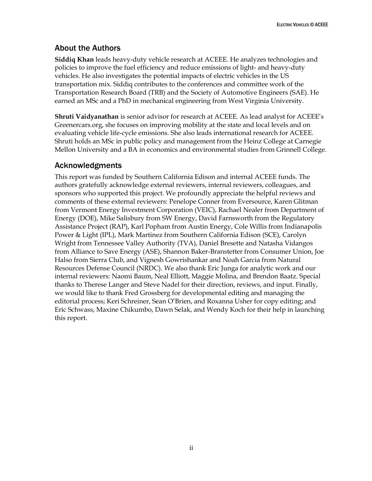# <span id="page-2-0"></span>About the Authors

**Siddiq Khan** leads heavy-duty vehicle research at ACEEE. He analyzes technologies and policies to improve the fuel efficiency and reduce emissions of light- and heavy-duty vehicles. He also investigates the potential impacts of electric vehicles in the US transportation mix. Siddiq contributes to the conferences and committee work of the Transportation Research Board (TRB) and the Society of Automotive Engineers (SAE). He earned an MSc and a PhD in mechanical engineering from West Virginia University.

**Shruti Vaidyanathan** is senior advisor for research at ACEEE. As lead analyst for ACEEE's Greenercars.org, she focuses on improving mobility at the state and local levels and on evaluating vehicle life-cycle emissions. She also leads international research for ACEEE. Shruti holds an MSc in public policy and management from the Heinz College at Carnegie Mellon University and a BA in economics and environmental studies from Grinnell College.

# <span id="page-2-1"></span>Acknowledgments

This report was funded by Southern California Edison and internal ACEEE funds. The authors gratefully acknowledge external reviewers, internal reviewers, colleagues, and sponsors who supported this project. We profoundly appreciate the helpful reviews and comments of these external reviewers: Penelope Conner from Eversource, Karen Glitman from Vermont Energy Investment Corporation (VEIC), Rachael Nealer from Department of Energy (DOE), Mike Salisbury from SW Energy, David Farnsworth from the Regulatory Assistance Project (RAP), Karl Popham from Austin Energy, Cole Willis from Indianapolis Power & Light (IPL), Mark Martinez from Southern California Edison (SCE), Carolyn Wright from Tennessee Valley Authority (TVA), Daniel Bresette and Natasha Vidangos from Alliance to Save Energy (ASE), Shannon Baker-Branstetter from Consumer Union, Joe Halso from Sierra Club, and Vignesh Gowrishankar and Noah Garcia from Natural Resources Defense Council (NRDC). We also thank Eric Junga for analytic work and our internal reviewers: Naomi Baum, Neal Elliott, Maggie Molina, and Brendon Baatz. Special thanks to Therese Langer and Steve Nadel for their direction, reviews, and input. Finally, we would like to thank Fred Grossberg for developmental editing and managing the editorial process; Keri Schreiner, Sean O'Brien, and Roxanna Usher for copy editing; and Eric Schwass, Maxine Chikumbo, Dawn Selak, and Wendy Koch for their help in launching this report.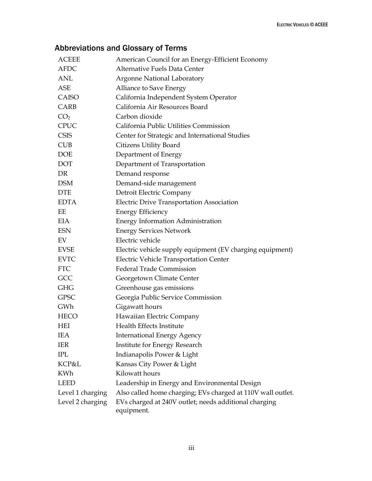# <span id="page-3-0"></span>Abbreviations and Glossary of Terms

| <b>ACEEE</b>     | American Council for an Energy-Efficient Economy                    |
|------------------|---------------------------------------------------------------------|
| <b>AFDC</b>      | Alternative Fuels Data Center                                       |
| <b>ANL</b>       | <b>Argonne National Laboratory</b>                                  |
| <b>ASE</b>       | Alliance to Save Energy                                             |
| CAISO            | California Independent System Operator                              |
| CARB             | California Air Resources Board                                      |
| CO <sub>2</sub>  | Carbon dioxide                                                      |
| <b>CPUC</b>      | California Public Utilities Commission                              |
| <b>CSIS</b>      | Center for Strategic and International Studies                      |
| <b>CUB</b>       | Citizens Utility Board                                              |
| <b>DOE</b>       | Department of Energy                                                |
| <b>DOT</b>       | Department of Transportation                                        |
| DR               | Demand response                                                     |
| <b>DSM</b>       | Demand-side management                                              |
| <b>DTE</b>       | Detroit Electric Company                                            |
| <b>EDTA</b>      | <b>Electric Drive Transportation Association</b>                    |
| EΕ               | <b>Energy Efficiency</b>                                            |
| <b>EIA</b>       | Energy Information Administration                                   |
| <b>ESN</b>       | <b>Energy Services Network</b>                                      |
| EV               | Electric vehicle                                                    |
| <b>EVSE</b>      | Electric vehicle supply equipment (EV charging equipment)           |
| <b>EVTC</b>      | Electric Vehicle Transportation Center                              |
| <b>FTC</b>       | <b>Federal Trade Commission</b>                                     |
| GCC              | Georgetown Climate Center                                           |
| <b>GHG</b>       | Greenhouse gas emissions                                            |
| <b>GPSC</b>      | Georgia Public Service Commission                                   |
| GWh              | Gigawatt hours                                                      |
| <b>HECO</b>      | Hawaiian Electric Company                                           |
| <b>HEI</b>       | Health Effects Institute                                            |
| IEA              | <b>International Energy Agency</b>                                  |
| <b>IER</b>       | Institute for Energy Research                                       |
| IPL              | Indianapolis Power & Light                                          |
| KCP&L            | Kansas City Power & Light                                           |
| <b>KWh</b>       | Kilowatt hours                                                      |
| <b>LEED</b>      | Leadership in Energy and Environmental Design                       |
| Level 1 charging | Also called home charging; EVs charged at 110V wall outlet.         |
| Level 2 charging | EVs charged at 240V outlet; needs additional charging<br>equipment. |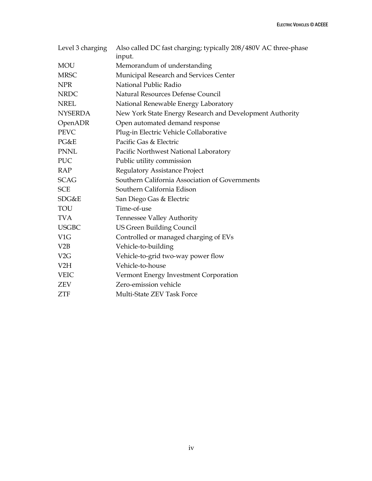| Level 3 charging | Also called DC fast charging; typically 208/480V AC three-phase<br>input. |
|------------------|---------------------------------------------------------------------------|
| <b>MOU</b>       | Memorandum of understanding                                               |
| <b>MRSC</b>      | Municipal Research and Services Center                                    |
| <b>NPR</b>       | National Public Radio                                                     |
| <b>NRDC</b>      | Natural Resources Defense Council                                         |
| <b>NREL</b>      | National Renewable Energy Laboratory                                      |
| <b>NYSERDA</b>   | New York State Energy Research and Development Authority                  |
| OpenADR          | Open automated demand response                                            |
| <b>PEVC</b>      | Plug-in Electric Vehicle Collaborative                                    |
| PG&E             | Pacific Gas & Electric                                                    |
| <b>PNNL</b>      | Pacific Northwest National Laboratory                                     |
| <b>PUC</b>       | Public utility commission                                                 |
| <b>RAP</b>       | <b>Regulatory Assistance Project</b>                                      |
| <b>SCAG</b>      | Southern California Association of Governments                            |
| <b>SCE</b>       | Southern California Edison                                                |
| SDG&E            | San Diego Gas & Electric                                                  |
| <b>TOU</b>       | Time-of-use                                                               |
| <b>TVA</b>       | <b>Tennessee Valley Authority</b>                                         |
| <b>USGBC</b>     | <b>US Green Building Council</b>                                          |
| V <sub>1</sub> G | Controlled or managed charging of EVs                                     |
| V2B              | Vehicle-to-building                                                       |
| V2G              | Vehicle-to-grid two-way power flow                                        |
| V2H              | Vehicle-to-house                                                          |
| <b>VEIC</b>      | Vermont Energy Investment Corporation                                     |
| <b>ZEV</b>       | Zero-emission vehicle                                                     |
| <b>ZTF</b>       | Multi-State ZEV Task Force                                                |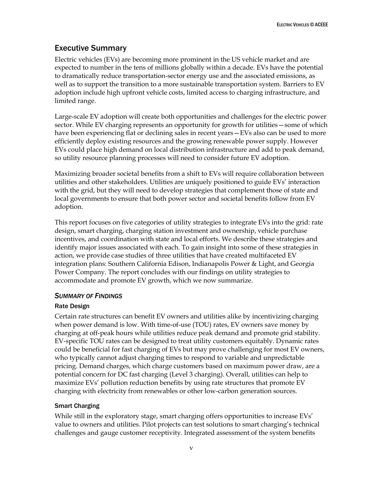# <span id="page-5-0"></span>Executive Summary

Electric vehicles (EVs) are becoming more prominent in the US vehicle market and are expected to number in the tens of millions globally within a decade. EVs have the potential to dramatically reduce transportation-sector energy use and the associated emissions, as well as to support the transition to a more sustainable transportation system. Barriers to EV adoption include high upfront vehicle costs, limited access to charging infrastructure, and limited range.

Large-scale EV adoption will create both opportunities and challenges for the electric power sector. While EV charging represents an opportunity for growth for utilities—some of which have been experiencing flat or declining sales in recent years—EVs also can be used to more efficiently deploy existing resources and the growing renewable power supply. However EVs could place high demand on local distribution infrastructure and add to peak demand, so utility resource planning processes will need to consider future EV adoption.

Maximizing broader societal benefits from a shift to EVs will require collaboration between utilities and other stakeholders. Utilities are uniquely positioned to guide EVs' interaction with the grid, but they will need to develop strategies that complement those of state and local governments to ensure that both power sector and societal benefits follow from EV adoption.

This report focuses on five categories of utility strategies to integrate EVs into the grid: rate design, smart charging, charging station investment and ownership, vehicle purchase incentives, and coordination with state and local efforts. We describe these strategies and identify major issues associated with each. To gain insight into some of these strategies in action, we provide case studies of three utilities that have created multifaceted EV integration plans: Southern California Edison, Indianapolis Power & Light, and Georgia Power Company. The report concludes with our findings on utility strategies to accommodate and promote EV growth, which we now summarize.

## *SUMMARY OF FINDINGS*

## Rate Design

Certain rate structures can benefit EV owners and utilities alike by incentivizing charging when power demand is low. With time-of-use (TOU) rates, EV owners save money by charging at off-peak hours while utilities reduce peak demand and promote grid stability. EV-specific TOU rates can be designed to treat utility customers equitably. Dynamic rates could be beneficial for fast charging of EVs but may prove challenging for most EV owners, who typically cannot adjust charging times to respond to variable and unpredictable pricing. Demand charges, which charge customers based on maximum power draw, are a potential concern for DC fast charging (Level 3 charging). Overall, utilities can help to maximize EVs' pollution reduction benefits by using rate structures that promote EV charging with electricity from renewables or other low-carbon generation sources.

# Smart Charging

While still in the exploratory stage, smart charging offers opportunities to increase EVs' value to owners and utilities. Pilot projects can test solutions to smart charging's technical challenges and gauge customer receptivity. Integrated assessment of the system benefits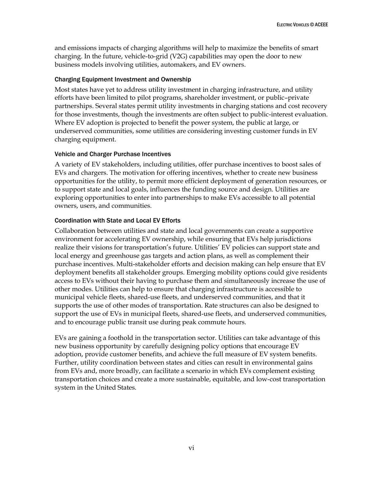and emissions impacts of charging algorithms will help to maximize the benefits of smart charging. In the future, vehicle-to-grid (V2G) capabilities may open the door to new business models involving utilities, automakers, and EV owners.

### Charging Equipment Investment and Ownership

Most states have yet to address utility investment in charging infrastructure, and utility efforts have been limited to pilot programs, shareholder investment, or public–private partnerships. Several states permit utility investments in charging stations and cost recovery for those investments, though the investments are often subject to public-interest evaluation. Where EV adoption is projected to benefit the power system, the public at large, or underserved communities, some utilities are considering investing customer funds in EV charging equipment.

### Vehicle and Charger Purchase Incentives

A variety of EV stakeholders, including utilities, offer purchase incentives to boost sales of EVs and chargers. The motivation for offering incentives, whether to create new business opportunities for the utility, to permit more efficient deployment of generation resources, or to support state and local goals, influences the funding source and design. Utilities are exploring opportunities to enter into partnerships to make EVs accessible to all potential owners, users, and communities.

## Coordination with State and Local EV Efforts

Collaboration between utilities and state and local governments can create a supportive environment for accelerating EV ownership, while ensuring that EVs help jurisdictions realize their visions for transportation's future. Utilities' EV policies can support state and local energy and greenhouse gas targets and action plans, as well as complement their purchase incentives. Multi-stakeholder efforts and decision making can help ensure that EV deployment benefits all stakeholder groups. Emerging mobility options could give residents access to EVs without their having to purchase them and simultaneously increase the use of other modes. Utilities can help to ensure that charging infrastructure is accessible to municipal vehicle fleets, shared-use fleets, and underserved communities, and that it supports the use of other modes of transportation. Rate structures can also be designed to support the use of EVs in municipal fleets, shared-use fleets, and underserved communities, and to encourage public transit use during peak commute hours.

EVs are gaining a foothold in the transportation sector. Utilities can take advantage of this new business opportunity by carefully designing policy options that encourage EV adoption, provide customer benefits, and achieve the full measure of EV system benefits. Further, utility coordination between states and cities can result in environmental gains from EVs and, more broadly, can facilitate a scenario in which EVs complement existing transportation choices and create a more sustainable, equitable, and low-cost transportation system in the United States.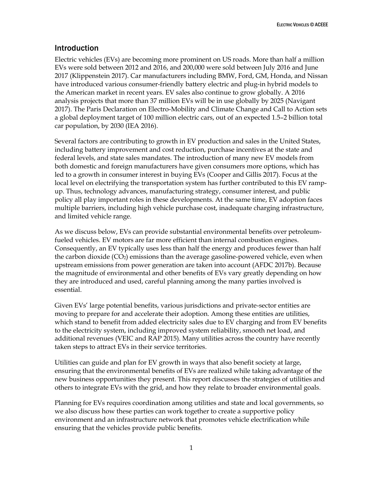# <span id="page-7-0"></span>Introduction

Electric vehicles (EVs) are becoming more prominent on US roads. More than half a million EVs were sold between 2012 and 2016, and 200,000 were sold between July 2016 and June 2017 (Klippenstein 2017). Car manufacturers including BMW, Ford, GM, Honda, and Nissan have introduced various consumer-friendly battery electric and plug-in hybrid models to the American market in recent years. EV sales also continue to grow globally. A 2016 analysis projects that more than 37 million EVs will be in use globally by 2025 (Navigant 2017). The Paris Declaration on Electro-Mobility and Climate Change and Call to Action sets a global deployment target of 100 million electric cars, out of an expected 1.5–2 billion total car population, by 2030 (IEA 2016).

Several factors are contributing to growth in EV production and sales in the United States, including battery improvement and cost reduction, purchase incentives at the state and federal levels, and state sales mandates. The introduction of many new EV models from both domestic and foreign manufacturers have given consumers more options, which has led to a growth in consumer interest in buying EVs (Cooper and Gillis 2017). Focus at the local level on electrifying the transportation system has further contributed to this EV rampup. Thus, technology advances, manufacturing strategy, consumer interest, and public policy all play important roles in these developments. At the same time, EV adoption faces multiple barriers, including high vehicle purchase cost, inadequate charging infrastructure, and limited vehicle range.

As we discuss below, EVs can provide substantial environmental benefits over petroleumfueled vehicles. EV motors are far more efficient than internal combustion engines. Consequently, an EV typically uses less than half the energy and produces fewer than half the carbon dioxide  $(CO<sub>2</sub>)$  emissions than the average gasoline-powered vehicle, even when upstream emissions from power generation are taken into account (AFDC 2017b). Because the magnitude of environmental and other benefits of EVs vary greatly depending on how they are introduced and used, careful planning among the many parties involved is essential.

Given EVs' large potential benefits, various jurisdictions and private-sector entities are moving to prepare for and accelerate their adoption. Among these entities are utilities, which stand to benefit from added electricity sales due to EV charging and from EV benefits to the electricity system, including improved system reliability, smooth net load, and additional revenues (VEIC and RAP 2015). Many utilities across the country have recently taken steps to attract EVs in their service territories.

Utilities can guide and plan for EV growth in ways that also benefit society at large, ensuring that the environmental benefits of EVs are realized while taking advantage of the new business opportunities they present. This report discusses the strategies of utilities and others to integrate EVs with the grid, and how they relate to broader environmental goals.

Planning for EVs requires coordination among utilities and state and local governments, so we also discuss how these parties can work together to create a supportive policy environment and an infrastructure network that promotes vehicle electrification while ensuring that the vehicles provide public benefits.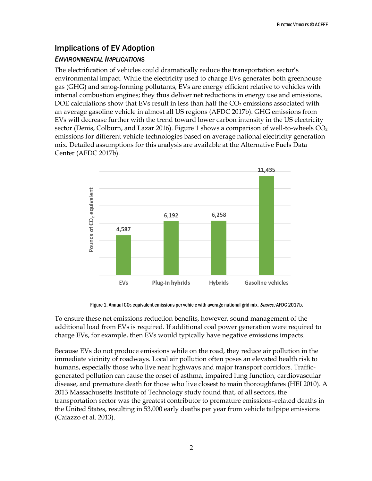# <span id="page-8-0"></span>Implications of EV Adoption

# *ENVIRONMENTAL IMPLICATIONS*

The electrification of vehicles could dramatically reduce the transportation sector's environmental impact. While the electricity used to charge EVs generates both greenhouse gas (GHG) and smog-forming pollutants, EVs are energy efficient relative to vehicles with internal combustion engines; they thus deliver net reductions in energy use and emissions. DOE calculations show that EVs result in less than half the  $CO<sub>2</sub>$  emissions associated with an average gasoline vehicle in almost all US regions (AFDC 2017b). GHG emissions from EVs will decrease further with the trend toward lower carbon intensity in the US electricity sector (Denis, Colburn, and Lazar 2016). Figure 1 shows a comparison of well-to-wheels  $CO<sub>2</sub>$ emissions for different vehicle technologies based on average national electricity generation mix. Detailed assumptions for this analysis are available at the Alternative Fuels Data Center (AFDC 2017b).



Figure 1. Annual CO<sub>2</sub> equivalent emissions per vehicle with average national grid mix. *Source:* AFDC 2017b.

To ensure these net emissions reduction benefits, however, sound management of the additional load from EVs is required. If additional coal power generation were required to charge EVs, for example, then EVs would typically have negative emissions impacts.

Because EVs do not produce emissions while on the road, they reduce air pollution in the immediate vicinity of roadways. Local air pollution often poses an elevated health risk to humans, especially those who live near highways and major transport corridors. Trafficgenerated pollution can cause the onset of asthma, impaired lung function, cardiovascular disease, and premature death for those who live closest to main thoroughfares (HEI 2010). A 2013 Massachusetts Institute of Technology study found that, of all sectors, the transportation sector was the greatest contributor to premature emissions–related deaths in the United States, resulting in 53,000 early deaths per year from vehicle tailpipe emissions (Caiazzo et al. 2013).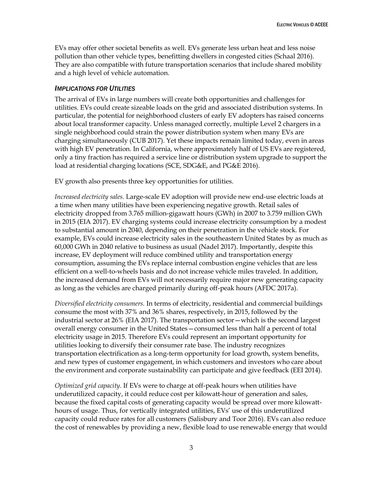EVs may offer other societal benefits as well. EVs generate less urban heat and less noise pollution than other vehicle types, benefitting dwellers in congested cities (Schaal 2016). They are also compatible with future transportation scenarios that include shared mobility and a high level of vehicle automation.

### *IMPLICATIONS FOR UTILITIES*

The arrival of EVs in large numbers will create both opportunities and challenges for utilities. EVs could create sizeable loads on the grid and associated distribution systems. In particular, the potential for neighborhood clusters of early EV adopters has raised concerns about local transformer capacity. Unless managed correctly, multiple Level 2 chargers in a single neighborhood could strain the power distribution system when many EVs are charging simultaneously (CUB 2017). Yet these impacts remain limited today, even in areas with high EV penetration. In California, where approximately half of US EVs are registered, only a tiny fraction has required a service line or distribution system upgrade to support the load at residential charging locations (SCE, SDG&E, and PG&E 2016).

EV growth also presents three key opportunities for utilities.

*Increased electricity sales.* Large-scale EV adoption will provide new end-use electric loads at a time when many utilities have been experiencing negative growth. Retail sales of electricity dropped from 3.765 million-gigawatt hours (GWh) in 2007 to 3.759 million GWh in 2015 (EIA 2017). EV charging systems could increase electricity consumption by a modest to substantial amount in 2040, depending on their penetration in the vehicle stock. For example, EVs could increase electricity sales in the southeastern United States by as much as 60,000 GWh in 2040 relative to business as usual (Nadel 2017). Importantly, despite this increase, EV deployment will reduce combined utility and transportation energy consumption, assuming the EVs replace internal combustion engine vehicles that are less efficient on a well-to-wheels basis and do not increase vehicle miles traveled. In addition, the increased demand from EVs will not necessarily require major new generating capacity as long as the vehicles are charged primarily during off-peak hours (AFDC 2017a).

*Diversified electricity consumers.* In terms of electricity, residential and commercial buildings consume the most with 37% and 36% shares, respectively, in 2015, followed by the industrial sector at 26% (EIA 2017). The transportation sector—which is the second largest overall energy consumer in the United States—consumed less than half a percent of total electricity usage in 2015. Therefore EVs could represent an important opportunity for utilities looking to diversify their consumer rate base. The industry recognizes transportation electrification as a long-term opportunity for load growth, system benefits, and new types of customer engagement, in which customers and investors who care about the environment and corporate sustainability can participate and give feedback (EEI 2014).

*Optimized grid capacity.* If EVs were to charge at off-peak hours when utilities have underutilized capacity, it could reduce cost per kilowatt-hour of generation and sales, because the fixed capital costs of generating capacity would be spread over more kilowatthours of usage. Thus, for vertically integrated utilities, EVs' use of this underutilized capacity could reduce rates for all customers (Salisbury and Toor 2016). EVs can also reduce the cost of renewables by providing a new, flexible load to use renewable energy that would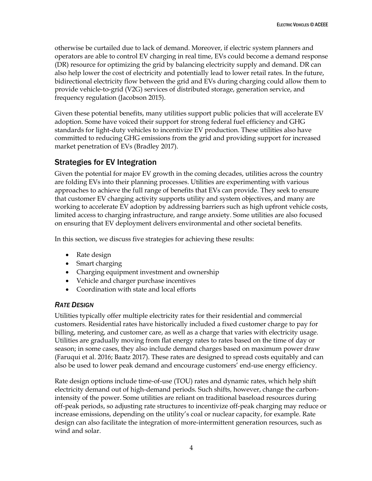otherwise be curtailed due to lack of demand. Moreover, if electric system planners and operators are able to control EV charging in real time, EVs could become a demand response (DR) resource for optimizing the grid by balancing electricity supply and demand. DR can also help lower the cost of electricity and potentially lead to lower retail rates. In the future, bidirectional electricity flow between the grid and EVs during charging could allow them to provide vehicle-to-grid (V2G) services of distributed storage, generation service, and frequency regulation (Jacobson 2015).

Given these potential benefits, many utilities support public policies that will accelerate EV adoption. Some have voiced their support for strong federal fuel efficiency and GHG standards for light-duty vehicles to incentivize EV production. These utilities also have committed to reducing GHG emissions from the grid and providing support for increased market penetration of EVs (Bradley 2017).

# <span id="page-10-0"></span>Strategies for EV Integration

Given the potential for major EV growth in the coming decades, utilities across the country are folding EVs into their planning processes. Utilities are experimenting with various approaches to achieve the full range of benefits that EVs can provide. They seek to ensure that customer EV charging activity supports utility and system objectives, and many are working to accelerate EV adoption by addressing barriers such as high upfront vehicle costs, limited access to charging infrastructure, and range anxiety. Some utilities are also focused on ensuring that EV deployment delivers environmental and other societal benefits.

In this section, we discuss five strategies for achieving these results:

- Rate design
- Smart charging
- Charging equipment investment and ownership
- Vehicle and charger purchase incentives
- Coordination with state and local efforts

# <span id="page-10-1"></span>*RATE DESIGN*

Utilities typically offer multiple electricity rates for their residential and commercial customers. Residential rates have historically included a fixed customer charge to pay for billing, metering, and customer care, as well as a charge that varies with electricity usage. Utilities are gradually moving from flat energy rates to rates based on the time of day or season; in some cases, they also include demand charges based on maximum power draw (Faruqui et al. 2016; Baatz 2017). These rates are designed to spread costs equitably and can also be used to lower peak demand and encourage customers' end-use energy efficiency.

Rate design options include time-of-use (TOU) rates and dynamic rates, which help shift electricity demand out of high-demand periods. Such shifts, however, change the carbonintensity of the power. Some utilities are reliant on traditional baseload resources during off-peak periods, so adjusting rate structures to incentivize off-peak charging may reduce or increase emissions, depending on the utility's coal or nuclear capacity, for example. Rate design can also facilitate the integration of more-intermittent generation resources, such as wind and solar.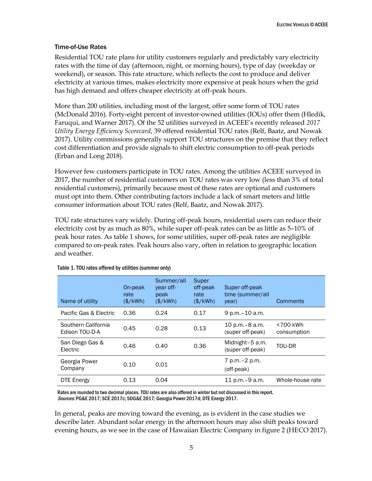### Time-of-Use Rates

Residential TOU rate plans for utility customers regularly and predictably vary electricity rates with the time of day (afternoon, night, or morning hours), type of day (weekday or weekend), or season. This rate structure, which reflects the cost to produce and deliver electricity at various times, makes electricity more expensive at peak hours when the grid has high demand and offers cheaper electricity at off-peak hours.

More than 200 utilities, including most of the largest, offer some form of TOU rates (McDonald 2016). Forty-eight percent of investor-owned utilities (IOUs) offer them (Hledik, Faruqui, and Warner 2017). Of the 52 utilities surveyed in ACEEE's recently released *2017 Utility Energy Efficiency Scorecard*, 39 offered residential TOU rates (Relf, Baatz, and Nowak 2017). Utility commissions generally support TOU structures on the premise that they reflect cost differentiation and provide signals to shift electric consumption to off-peak periods (Erban and Long 2018).

However few customers participate in TOU rates. Among the utilities ACEEE surveyed in 2017, the number of residential customers on TOU rates was very low (less than 3% of total residential customers), primarily because most of these rates are optional and customers must opt into them. Other contributing factors include a lack of smart meters and little consumer information about TOU rates (Relf, Baatz, and Nowak 2017).

TOU rate structures vary widely. During off-peak hours, residential users can reduce their electricity cost by as much as 80%, while super off-peak rates can be as little as 5–10% of peak hour rates. As table 1 shows, for some utilities, super off-peak rates are negligible compared to on-peak rates. Peak hours also vary, often in relation to geographic location and weather.

| Name of utility                       | On-peak<br>rate<br>$(\frac{4}{kWh})$ | Summer/all<br>year off-<br>peak<br>$(\frac{4}{k}$ Wh $)$ | Super<br>off-peak<br>rate<br>$(\frac{4}{kWh})$ | Super off-peak<br>time (summer/all<br>year) | <b>Comments</b>         |
|---------------------------------------|--------------------------------------|----------------------------------------------------------|------------------------------------------------|---------------------------------------------|-------------------------|
| Pacific Gas & Electric                | 0.36                                 | 0.24                                                     | 0.17                                           | 9 p.m. - 10 a.m.                            |                         |
| Southern California<br>Edison TOU-D-A | 0.45                                 | 0.28                                                     | 0.13                                           | 10 p.m. – 8 a.m.<br>(super off-peak)        | <700 kWh<br>consumption |
| San Diego Gas &<br>Electric           | 0.46                                 | 0.40                                                     | 0.36                                           | Midnight-5 a.m.<br>(super off-peak)         | TOU-DR                  |
| Georgia Power<br>Company              | 0.10                                 | 0.01                                                     |                                                | 7 p.m. – 2 p.m.<br>(off-peak)               |                         |
| DTE Energy                            | 0.13                                 | 0.04                                                     |                                                | 11 p.m. – 9 a.m.                            | Whole-house rate        |

Table 1. TOU rates offered by utilities (summer only)

Rates are rounded to two decimal places. TOU rates are also offered in winter but not discussed in this report. Sources: PG&E 2017; SCE 2017c; SDG&E 2017; Georgia Power 2017d; DTE Energy 2017.

In general, peaks are moving toward the evening, as is evident in the case studies we describe later. Abundant solar energy in the afternoon hours may also shift peaks toward evening hours, as we see in the case of Hawaiian Electric Company in figure 2 (HECO 2017).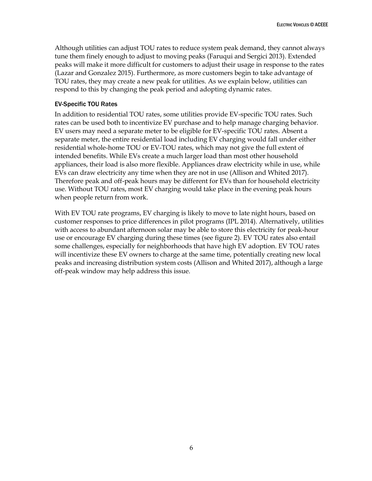Although utilities can adjust TOU rates to reduce system peak demand, they cannot always tune them finely enough to adjust to moving peaks (Faruqui and Sergici 2013). Extended peaks will make it more difficult for customers to adjust their usage in response to the rates (Lazar and Gonzalez 2015). Furthermore, as more customers begin to take advantage of TOU rates, they may create a new peak for utilities. As we explain below, utilities can respond to this by changing the peak period and adopting dynamic rates.

### EV-Specific TOU Rates

In addition to residential TOU rates, some utilities provide EV-specific TOU rates. Such rates can be used both to incentivize EV purchase and to help manage charging behavior. EV users may need a separate meter to be eligible for EV-specific TOU rates. Absent a separate meter, the entire residential load including EV charging would fall under either residential whole-home TOU or EV-TOU rates, which may not give the full extent of intended benefits. While EVs create a much larger load than most other household appliances, their load is also more flexible. Appliances draw electricity while in use, while EVs can draw electricity any time when they are not in use (Allison and Whited 2017). Therefore peak and off-peak hours may be different for EVs than for household electricity use. Without TOU rates, most EV charging would take place in the evening peak hours when people return from work.

With EV TOU rate programs, EV charging is likely to move to late night hours, based on customer responses to price differences in pilot programs (IPL 2014). Alternatively, utilities with access to abundant afternoon solar may be able to store this electricity for peak-hour use or encourage EV charging during these times (see figure 2). EV TOU rates also entail some challenges, especially for neighborhoods that have high EV adoption. EV TOU rates will incentivize these EV owners to charge at the same time, potentially creating new local peaks and increasing distribution system costs (Allison and Whited 2017), although a large off-peak window may help address this issue.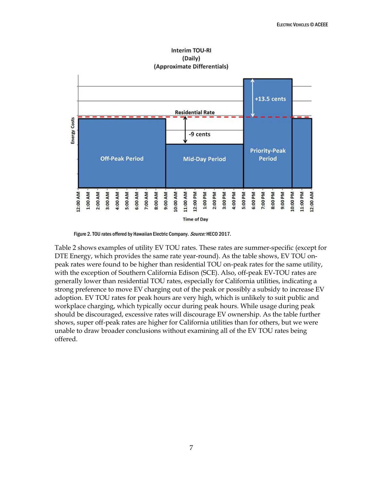

**Interim TOU-RI** (Daily)

Table 2 shows examples of utility EV TOU rates. These rates are summer-specific (except for DTE Energy, which provides the same rate year-round). As the table shows, EV TOU onpeak rates were found to be higher than residential TOU on-peak rates for the same utility, with the exception of Southern California Edison (SCE). Also, off-peak EV-TOU rates are generally lower than residential TOU rates, especially for California utilities, indicating a strong preference to move EV charging out of the peak or possibly a subsidy to increase EV adoption. EV TOU rates for peak hours are very high, which is unlikely to suit public and workplace charging, which typically occur during peak hours. While usage during peak should be discouraged, excessive rates will discourage EV ownership. As the table further shows, super off-peak rates are higher for California utilities than for others, but we were unable to draw broader conclusions without examining all of the EV TOU rates being offered.

Figure 2. TOU rates offered by Hawaiian Electric Company. Source: HECO 2017.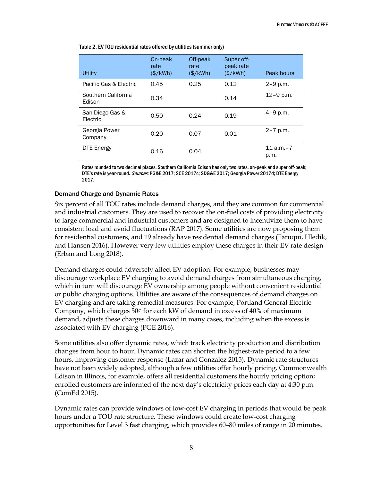| <b>Utility</b>                | On-peak<br>rate<br>(\$/kWh) | Off-peak<br>rate<br>$(*/kWh)$ | Super off-<br>peak rate<br>$(\frac{\sqrt{2}}{2}$ | Peak hours         |
|-------------------------------|-----------------------------|-------------------------------|--------------------------------------------------|--------------------|
| Pacific Gas & Electric        | 0.45                        | 0.25                          | 0.12                                             | $2 - 9$ p.m.       |
| Southern California<br>Edison | 0.34                        |                               | 0.14                                             | $12 - 9$ p.m.      |
| San Diego Gas &<br>Electric   | 0.50                        | 0.24                          | 0.19                                             | $4 - 9$ p.m.       |
| Georgia Power<br>Company      | 0.20                        | 0.07                          | 0.01                                             | $2 - 7$ p.m.       |
| <b>DTE Energy</b>             | 0.16                        | 0.04                          |                                                  | $11a.m.-7$<br>p.m. |

Table 2. EV TOU residential rates offered by utilities (summer only)

Rates rounded to two decimal places. Southern California Edison has only two rates, on-peak and super off-peak; DTE's rate is year-round. Sources: PG&E 2017; SCE 2017c; SDG&E 2017; Georgia Power 2017d; DTE Energy 2017.

### Demand Charge and Dynamic Rates

Six percent of all TOU rates include demand charges, and they are common for commercial and industrial customers. They are used to recover the on-fuel costs of providing electricity to large commercial and industrial customers and are designed to incentivize them to have consistent load and avoid fluctuations (RAP 2017). Some utilities are now proposing them for residential customers, and 19 already have residential demand charges (Faruqui, Hledik, and Hansen 2016). However very few utilities employ these charges in their EV rate design (Erban and Long 2018).

Demand charges could adversely affect EV adoption. For example, businesses may discourage workplace EV charging to avoid demand charges from simultaneous charging, which in turn will discourage EV ownership among people without convenient residential or public charging options. Utilities are aware of the consequences of demand charges on EV charging and are taking remedial measures. For example, Portland General Electric Company, which charges 50¢ for each kW of demand in excess of 40% of maximum demand, adjusts these charges downward in many cases, including when the excess is associated with EV charging (PGE 2016).

Some utilities also offer dynamic rates, which track electricity production and distribution changes from hour to hour. Dynamic rates can shorten the highest-rate period to a few hours, improving customer response (Lazar and Gonzalez 2015). Dynamic rate structures have not been widely adopted, although a few utilities offer hourly pricing. Commonwealth Edison in Illinois, for example, offers all residential customers the hourly pricing option; enrolled customers are informed of the next day's electricity prices each day at 4:30 p.m. (ComEd 2015).

Dynamic rates can provide windows of low-cost EV charging in periods that would be peak hours under a TOU rate structure. These windows could create low-cost charging opportunities for Level 3 fast charging, which provides 60–80 miles of range in 20 minutes.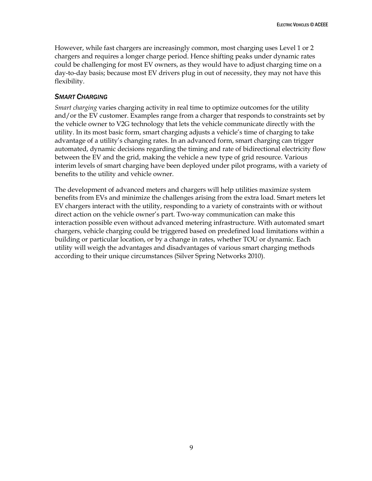However, while fast chargers are increasingly common, most charging uses Level 1 or 2 chargers and requires a longer charge period. Hence shifting peaks under dynamic rates could be challenging for most EV owners, as they would have to adjust charging time on a day-to-day basis; because most EV drivers plug in out of necessity, they may not have this flexibility.

## <span id="page-15-0"></span>*SMART CHARGING*

*Smart charging* varies charging activity in real time to optimize outcomes for the utility and/or the EV customer. Examples range from a charger that responds to constraints set by the vehicle owner to V2G technology that lets the vehicle communicate directly with the utility. In its most basic form, smart charging adjusts a vehicle's time of charging to take advantage of a utility's changing rates. In an advanced form, smart charging can trigger automated, dynamic decisions regarding the timing and rate of bidirectional electricity flow between the EV and the grid, making the vehicle a new type of grid resource. Various interim levels of smart charging have been deployed under pilot programs, with a variety of benefits to the utility and vehicle owner.

The development of advanced meters and chargers will help utilities maximize system benefits from EVs and minimize the challenges arising from the extra load. Smart meters let EV chargers interact with the utility, responding to a variety of constraints with or without direct action on the vehicle owner's part. Two-way communication can make this interaction possible even without advanced metering infrastructure. With automated smart chargers, vehicle charging could be triggered based on predefined load limitations within a building or particular location, or by a change in rates, whether TOU or dynamic. Each utility will weigh the advantages and disadvantages of various smart charging methods according to their unique circumstances (Silver Spring Networks 2010).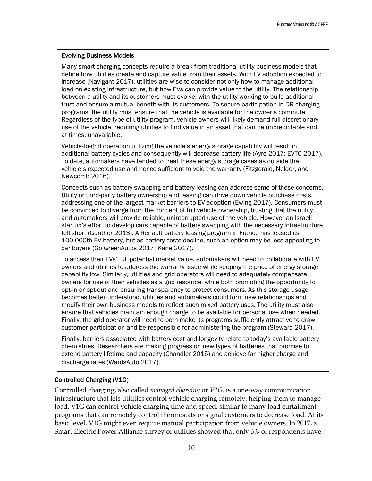### Evolving Business Models

Many smart charging concepts require a break from traditional utility business models that define how utilities create and capture value from their assets. With EV adoption expected to increase (Navigant 2017), utilities are wise to consider not only how to manage additional load on existing infrastructure, but how EVs can provide value to the utility. The relationship between a utility and its customers must evolve, with the utility working to build additional trust and ensure a mutual benefit with its customers. To secure participation in DR charging programs, the utility must ensure that the vehicle is available for the owner's commute. Regardless of the type of utility program, vehicle owners will likely demand full discretionary use of the vehicle, requiring utilities to find value in an asset that can be unpredictable and, at times, unavailable.

Vehicle-to-grid operation utilizing the vehicle's energy storage capability will result in additional battery cycles and consequently will decrease battery life (Ayre 2017; EVTC 2017). To date, automakers have tended to treat these energy storage cases as outside the vehicle's expected use and hence sufficient to void the warranty (Fitzgerald, Nelder, and Newcomb 2016).

Concepts such as battery swapping and battery leasing can address some of these concerns. Utility or third-party battery ownership and leasing can drive down vehicle purchase costs, addressing one of the largest market barriers to EV adoption (Ewing 2017). Consumers must be convinced to diverge from the concept of full vehicle ownership, trusting that the utility and automakers will provide reliable, uninterrupted use of the vehicle. However an Israeli startup's effort to develop cars capable of battery swapping with the necessary infrastructure fell short (Gunther 2013). A Renault battery leasing program in France has leased its 100,000th EV battery, but as battery costs decline, such an option may be less appealing to car buyers (Go GreenAutos 2017; Kane 2017).

To access their EVs' full potential market value, automakers will need to collaborate with EV owners and utilities to address the warranty issue while keeping the price of energy storage capability low. Similarly, utilities and grid operators will need to adequately compensate owners for use of their vehicles as a grid resource, while both promoting the opportunity to opt-in or opt-out and ensuring transparency to protect consumers. As this storage usage becomes better understood, utilities and automakers could form new relationships and modify their own business models to reflect such mixed battery uses. The utility must also ensure that vehicles maintain enough charge to be available for personal use when needed. Finally, the grid operator will need to both make its programs sufficiently attractive to draw customer participation and be responsible for administering the program (Steward 2017).

Finally, barriers associated with battery cost and longevity relate to today's available battery chemistries. Researchers are making progress on new types of batteries that promise to extend battery lifetime and capacity (Chandler 2015) and achieve far higher charge and discharge rates (WardsAuto 2017).

## Controlled Charging (V1G)

Controlled charging, also called *managed charging* or *V1G*, is a one-way communication infrastructure that lets utilities control vehicle charging remotely, helping them to manage load. V1G can control vehicle charging time and speed, similar to many load curtailment programs that can remotely control thermostats or signal customers to decrease load. At its basic level, V1G might even require manual participation from vehicle owners. In 2017, a Smart Electric Power Alliance survey of utilities showed that only 3% of respondents have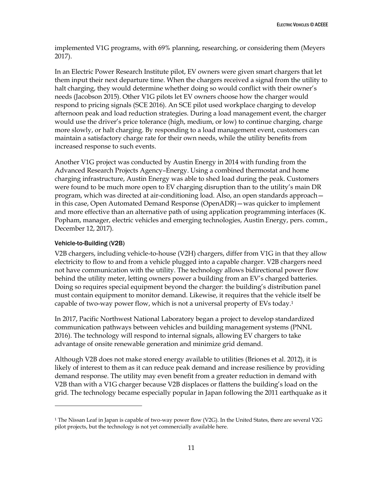implemented V1G programs, with 69% planning, researching, or considering them (Meyers 2017).

In an Electric Power Research Institute pilot, EV owners were given smart chargers that let them input their next departure time. When the chargers received a signal from the utility to halt charging, they would determine whether doing so would conflict with their owner's needs (Jacobson 2015). Other V1G pilots let EV owners choose how the charger would respond to pricing signals (SCE 2016). An SCE pilot used workplace charging to develop afternoon peak and load reduction strategies. During a load management event, the charger would use the driver's price tolerance (high, medium, or low) to continue charging, charge more slowly, or halt charging. By responding to a load management event, customers can maintain a satisfactory charge rate for their own needs, while the utility benefits from increased response to such events.

Another V1G project was conducted by Austin Energy in 2014 with funding from the Advanced Research Projects Agency–Energy. Using a combined thermostat and home charging infrastructure, Austin Energy was able to shed load during the peak. Customers were found to be much more open to EV charging disruption than to the utility's main DR program, which was directed at air-conditioning load. Also, an open standards approach in this case, Open Automated Demand Response (OpenADR)—was quicker to implement and more effective than an alternative path of using application programming interfaces (K. Popham, manager, electric vehicles and emerging technologies, Austin Energy, pers. comm., December 12, 2017).

### Vehicle-to-Building (V2B)

 $\overline{a}$ 

V2B chargers, including vehicle-to-house (V2H) chargers, differ from V1G in that they allow electricity to flow to and from a vehicle plugged into a capable charger. V2B chargers need not have communication with the utility. The technology allows bidirectional power flow behind the utility meter, letting owners power a building from an EV's charged batteries. Doing so requires special equipment beyond the charger: the building's distribution panel must contain equipment to monitor demand. Likewise, it requires that the vehicle itself be capable of two-way power flow, which is not a universal property of EVs today.<sup>1</sup>

In 2017, Pacific Northwest National Laboratory began a project to develop standardized communication pathways between vehicles and building management systems (PNNL 2016). The technology will respond to internal signals, allowing EV chargers to take advantage of onsite renewable generation and minimize grid demand.

Although V2B does not make stored energy available to utilities (Briones et al. 2012), it is likely of interest to them as it can reduce peak demand and increase resilience by providing demand response. The utility may even benefit from a greater reduction in demand with V2B than with a V1G charger because V2B displaces or flattens the building's load on the grid. The technology became especially popular in Japan following the 2011 earthquake as it

<sup>&</sup>lt;sup>1</sup> The Nissan Leaf in Japan is capable of two-way power flow (V2G). In the United States, there are several V2G pilot projects, but the technology is not yet commercially available here.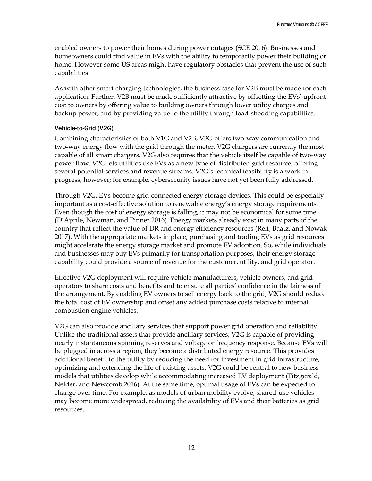enabled owners to power their homes during power outages (SCE 2016). Businesses and homeowners could find value in EVs with the ability to temporarily power their building or home. However some US areas might have regulatory obstacles that prevent the use of such capabilities.

As with other smart charging technologies, the business case for V2B must be made for each application. Further, V2B must be made sufficiently attractive by offsetting the EVs' upfront cost to owners by offering value to building owners through lower utility charges and backup power, and by providing value to the utility through load-shedding capabilities.

### Vehicle-to-Grid (V2G)

Combining characteristics of both V1G and V2B, V2G offers two-way communication and two-way energy flow with the grid through the meter. V2G chargers are currently the most capable of all smart chargers. V2G also requires that the vehicle itself be capable of two-way power flow. V2G lets utilities use EVs as a new type of distributed grid resource, offering several potential services and revenue streams. V2G's technical feasibility is a work in progress, however; for example, cybersecurity issues have not yet been fully addressed.

Through V2G, EVs become grid-connected energy storage devices. This could be especially important as a cost-effective solution to renewable energy's energy storage requirements. Even though the cost of energy storage is falling, it may not be economical for some time (D'Aprile, Newman, and Pinner 2016). Energy markets already exist in many parts of the country that reflect the value of DR and energy efficiency resources (Relf, Baatz, and Nowak 2017). With the appropriate markets in place, purchasing and trading EVs as grid resources might accelerate the energy storage market and promote EV adoption. So, while individuals and businesses may buy EVs primarily for transportation purposes, their energy storage capability could provide a source of revenue for the customer, utility, and grid operator.

Effective V2G deployment will require vehicle manufacturers, vehicle owners, and grid operators to share costs and benefits and to ensure all parties' confidence in the fairness of the arrangement. By enabling EV owners to sell energy back to the grid, V2G should reduce the total cost of EV ownership and offset any added purchase costs relative to internal combustion engine vehicles.

V2G can also provide ancillary services that support power grid operation and reliability. Unlike the traditional assets that provide ancillary services, V2G is capable of providing nearly instantaneous spinning reserves and voltage or frequency response. Because EVs will be plugged in across a region, they become a distributed energy resource. This provides additional benefit to the utility by reducing the need for investment in grid infrastructure, optimizing and extending the life of existing assets. V2G could be central to new business models that utilities develop while accommodating increased EV deployment (Fitzgerald, Nelder, and Newcomb 2016). At the same time, optimal usage of EVs can be expected to change over time. For example, as models of urban mobility evolve, shared-use vehicles may become more widespread, reducing the availability of EVs and their batteries as grid resources.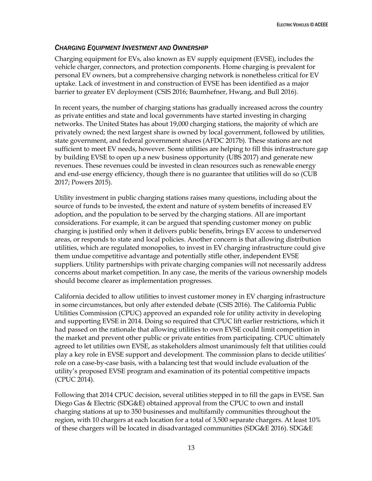## <span id="page-19-0"></span>*CHARGING EQUIPMENT INVESTMENT AND OWNERSHIP*

Charging equipment for EVs, also known as EV supply equipment (EVSE), includes the vehicle charger, connectors, and protection components. Home charging is prevalent for personal EV owners, but a comprehensive charging network is nonetheless critical for EV uptake. Lack of investment in and construction of EVSE has been identified as a major barrier to greater EV deployment (CSIS 2016; Baumhefner, Hwang, and Bull 2016).

In recent years, the number of charging stations has gradually increased across the country as private entities and state and local governments have started investing in charging networks. The United States has about 19,000 charging stations, the majority of which are privately owned; the next largest share is owned by local government, followed by utilities, state government, and federal government shares (AFDC 2017b). These stations are not sufficient to meet EV needs, however. Some utilities are helping to fill this infrastructure gap by building EVSE to open up a new business opportunity (UBS 2017) and generate new revenues. These revenues could be invested in clean resources such as renewable energy and end-use energy efficiency, though there is no guarantee that utilities will do so (CUB 2017; Powers 2015).

Utility investment in public charging stations raises many questions, including about the source of funds to be invested, the extent and nature of system benefits of increased EV adoption, and the population to be served by the charging stations. All are important considerations. For example, it can be argued that spending customer money on public charging is justified only when it delivers public benefits, brings EV access to underserved areas, or responds to state and local policies. Another concern is that allowing distribution utilities, which are regulated monopolies, to invest in EV charging infrastructure could give them undue competitive advantage and potentially stifle other, independent EVSE suppliers. Utility partnerships with private charging companies will not necessarily address concerns about market competition. In any case, the merits of the various ownership models should become clearer as implementation progresses.

California decided to allow utilities to invest customer money in EV charging infrastructure in some circumstances, but only after extended debate (CSIS 2016). The California Public Utilities Commission (CPUC) approved an expanded role for utility activity in developing and supporting EVSE in 2014. Doing so required that CPUC lift earlier restrictions, which it had passed on the rationale that allowing utilities to own EVSE could limit competition in the market and prevent other public or private entities from participating. CPUC ultimately agreed to let utilities own EVSE, as stakeholders almost unanimously felt that utilities could play a key role in EVSE support and development. The commission plans to decide utilities' role on a case-by-case basis, with a balancing test that would include evaluation of the utility's proposed EVSE program and examination of its potential competitive impacts (CPUC 2014).

Following that 2014 CPUC decision, several utilities stepped in to fill the gaps in EVSE. San Diego Gas & Electric (SDG&E) obtained approval from the CPUC to own and install charging stations at up to 350 businesses and multifamily communities throughout the region, with 10 chargers at each location for a total of 3,500 separate chargers. At least 10% of these chargers will be located in disadvantaged communities (SDG&E 2016). SDG&E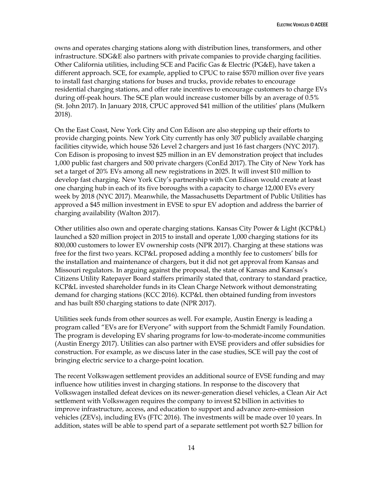owns and operates charging stations along with distribution lines, transformers, and other infrastructure. SDG&E also partners with private companies to provide charging facilities. Other California utilities, including SCE and Pacific Gas & Electric (PG&E), have taken a different approach. SCE, for example, applied to CPUC to raise \$570 million over five years to install fast charging stations for buses and trucks, provide rebates to encourage residential charging stations, and offer rate incentives to encourage customers to charge EVs during off-peak hours. The SCE plan would increase customer bills by an average of 0.5% (St. John 2017). In January 2018, CPUC approved \$41 million of the utilities' plans (Mulkern 2018).

On the East Coast, New York City and Con Edison are also stepping up their efforts to provide charging points. New York City currently has only 307 publicly available charging facilities citywide, which house 526 Level 2 chargers and just 16 fast chargers (NYC 2017). Con Edison is proposing to invest \$25 million in an EV demonstration project that includes 1,000 public fast chargers and 500 private chargers (ConEd 2017). The City of New York has set a target of 20% EVs among all new registrations in 2025. It will invest \$10 million to develop fast charging. New York City's partnership with Con Edison would create at least one charging hub in each of its five boroughs with a capacity to charge 12,000 EVs every week by 2018 (NYC 2017). Meanwhile, the Massachusetts Department of Public Utilities has approved a \$45 million investment in EVSE to spur EV adoption and address the barrier of charging availability (Walton 2017).

Other utilities also own and operate charging stations. Kansas City Power & Light (KCP&L) launched a \$20 million project in 2015 to install and operate 1,000 charging stations for its 800,000 customers to lower EV ownership costs (NPR 2017). Charging at these stations was free for the first two years. KCP&L proposed adding a monthly fee to customers' bills for the installation and maintenance of chargers, but it did not get approval from Kansas and Missouri regulators. In arguing against the proposal, the state of Kansas and Kansas's Citizens Utility Ratepayer Board staffers primarily stated that, contrary to standard practice, KCP&L invested shareholder funds in its Clean Charge Network without demonstrating demand for charging stations (KCC 2016). KCP&L then obtained funding from investors and has built 850 charging stations to date (NPR 2017).

Utilities seek funds from other sources as well. For example, Austin Energy is leading a program called "EVs are for EVeryone" with support from the Schmidt Family Foundation. The program is developing EV sharing programs for low-to-moderate-income communities (Austin Energy 2017). Utilities can also partner with EVSE providers and offer subsidies for construction. For example, as we discuss later in the case studies, SCE will pay the cost of bringing electric service to a charge-point location.

The recent Volkswagen settlement provides an additional source of EVSE funding and may influence how utilities invest in charging stations. In response to the discovery that Volkswagen installed defeat devices on its newer-generation diesel vehicles, a Clean Air Act settlement with Volkswagen requires the company to invest \$2 billion in activities to improve infrastructure, access, and education to support and advance zero-emission vehicles (ZEVs), including EVs (FTC 2016). The investments will be made over 10 years. In addition, states will be able to spend part of a separate settlement pot worth \$2.7 billion for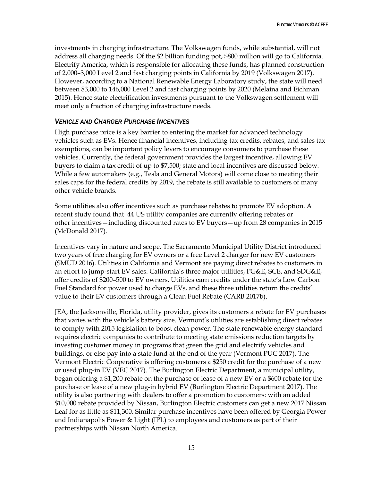investments in charging infrastructure. The Volkswagen funds, while substantial, will not address all charging needs. Of the \$2 billion funding pot, \$800 million will go to California. Electrify America, which is responsible for allocating these funds, has planned construction of 2,000–3,000 Level 2 and fast charging points in California by 2019 (Volkswagen 2017). However, according to a National Renewable Energy Laboratory study, the state will need between 83,000 to 146,000 Level 2 and fast charging points by 2020 (Melaina and Eichman 2015). Hence state electrification investments pursuant to the Volkswagen settlement will meet only a fraction of charging infrastructure needs.

### <span id="page-21-0"></span>*VEHICLE AND CHARGER PURCHASE INCENTIVES*

High purchase price is a key barrier to entering the market for advanced technology vehicles such as EVs. Hence financial incentives, including tax credits, rebates, and sales tax exemptions, can be important policy levers to encourage consumers to purchase these vehicles. Currently, the federal government provides the largest incentive, allowing EV buyers to claim a tax credit of up to \$7,500; state and local incentives are discussed below. While a few automakers (e.g., Tesla and General Motors) will come close to meeting their sales caps for the federal credits by 2019, the rebate is still available to customers of many other vehicle brands.

Some utilities also offer incentives such as purchase rebates to promote EV adoption. A recent study found that 44 US utility companies are currently offering rebates or other incentives—including discounted rates to EV buyers—up from 28 companies in 2015 (McDonald 2017).

Incentives vary in nature and scope. The Sacramento Municipal Utility District introduced two years of free charging for EV owners or a free Level 2 charger for new EV customers (SMUD 2016). Utilities in California and Vermont are paying direct rebates to customers in an effort to jump-start EV sales. California's three major utilities, PG&E, SCE, and SDG&E, offer credits of \$200–500 to EV owners. Utilities earn credits under the state's Low Carbon Fuel Standard for power used to charge EVs, and these three utilities return the credits' value to their EV customers through a Clean Fuel Rebate (CARB 2017b).

JEA, the Jacksonville, Florida, utility provider, gives its customers a rebate for EV purchases that varies with the vehicle's battery size. Vermont's utilities are establishing direct rebates to comply with 2015 legislation to boost clean power. The state renewable energy standard requires electric companies to contribute to meeting state emissions reduction targets by investing customer money in programs that green the grid and electrify vehicles and buildings, or else pay into a state fund at the end of the year (Vermont PUC 2017). The Vermont Electric Cooperative is offering customers a \$250 credit for the purchase of a new or used plug-in EV (VEC 2017). The Burlington Electric Department, a municipal utility, began offering a \$1,200 rebate on the purchase or lease of a new EV or a \$600 rebate for the purchase or lease of a new plug-in hybrid EV (Burlington Electric Department 2017). The utility is also partnering with dealers to offer a promotion to customers: with an added \$10,000 rebate provided by Nissan, Burlington Electric customers can get a new 2017 Nissan Leaf for as little as \$11,300. Similar purchase incentives have been offered by Georgia Power and Indianapolis Power & Light (IPL) to employees and customers as part of their partnerships with Nissan North America.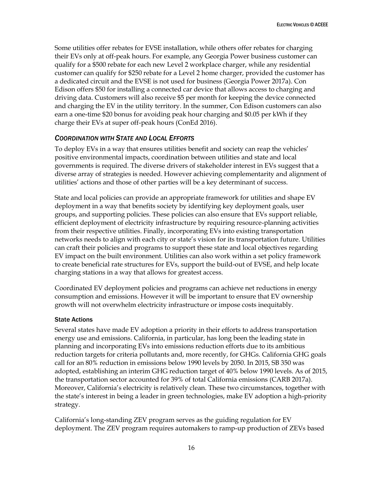Some utilities offer rebates for EVSE installation, while others offer rebates for charging their EVs only at off-peak hours. For example, any Georgia Power business customer can qualify for a \$500 rebate for each new Level 2 workplace charger, while any residential customer can qualify for \$250 rebate for a Level 2 home charger, provided the customer has a dedicated circuit and the EVSE is not used for business (Georgia Power 2017a). Con Edison offers \$50 for installing a connected car device that allows access to charging and driving data. Customers will also receive \$5 per month for keeping the device connected and charging the EV in the utility territory. In the summer, Con Edison customers can also earn a one-time \$20 bonus for avoiding peak hour charging and \$0.05 per kWh if they charge their EVs at super off-peak hours (ConEd 2016).

## <span id="page-22-0"></span>*COORDINATION WITH STATE AND LOCAL EFFORTS*

To deploy EVs in a way that ensures utilities benefit and society can reap the vehicles' positive environmental impacts, coordination between utilities and state and local governments is required. The diverse drivers of stakeholder interest in EVs suggest that a diverse array of strategies is needed. However achieving complementarity and alignment of utilities' actions and those of other parties will be a key determinant of success.

State and local policies can provide an appropriate framework for utilities and shape EV deployment in a way that benefits society by identifying key deployment goals, user groups, and supporting policies. These policies can also ensure that EVs support reliable, efficient deployment of electricity infrastructure by requiring resource-planning activities from their respective utilities. Finally, incorporating EVs into existing transportation networks needs to align with each city or state's vision for its transportation future. Utilities can craft their policies and programs to support these state and local objectives regarding EV impact on the built environment. Utilities can also work within a set policy framework to create beneficial rate structures for EVs, support the build-out of EVSE, and help locate charging stations in a way that allows for greatest access.

Coordinated EV deployment policies and programs can achieve net reductions in energy consumption and emissions. However it will be important to ensure that EV ownership growth will not overwhelm electricity infrastructure or impose costs inequitably.

## State Actions

Several states have made EV adoption a priority in their efforts to address transportation energy use and emissions. California, in particular, has long been the leading state in planning and incorporating EVs into emissions reduction efforts due to its ambitious reduction targets for criteria pollutants and, more recently, for GHGs. California GHG goals call for an 80% reduction in emissions below 1990 levels by 2050. In 2015, SB 350 was adopted, establishing an interim GHG reduction target of 40% below 1990 levels. As of 2015, the transportation sector accounted for 39% of total California emissions (CARB 2017a). Moreover, California's electricity is relatively clean. These two circumstances, together with the state's interest in being a leader in green technologies, make EV adoption a high-priority strategy.

California's long-standing ZEV program serves as the guiding regulation for EV deployment. The ZEV program requires automakers to ramp-up production of ZEVs based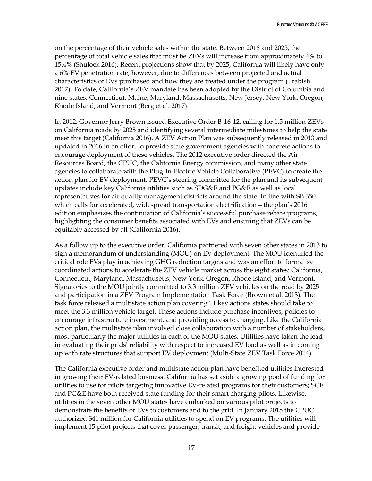on the percentage of their vehicle sales within the state. Between 2018 and 2025, the percentage of total vehicle sales that must be ZEVs will increase from approximately 4% to 15.4% (Shulock 2016). Recent projections show that by 2025, California will likely have only a 6% EV penetration rate, however, due to differences between projected and actual characteristics of EVs purchased and how they are treated under the program (Trabish 2017). To date, California's ZEV mandate has been adopted by the District of Columbia and nine states: Connecticut, Maine, Maryland, Massachusetts, New Jersey, New York, Oregon, Rhode Island, and Vermont (Berg et al. 2017).

In 2012, Governor Jerry Brown issued Executive Order B-16-12, calling for 1.5 million ZEVs on California roads by 2025 and identifying several intermediate milestones to help the state meet this target (California 2016). A ZEV Action Plan was subsequently released in 2013 and updated in 2016 in an effort to provide state government agencies with concrete actions to encourage deployment of these vehicles. The 2012 executive order directed the Air Resources Board, the CPUC, the California Energy commission, and many other state agencies to collaborate with the Plug-In Electric Vehicle Collaborative (PEVC) to create the action plan for EV deployment. PEVC's steering committee for the plan and its subsequent updates include key California utilities such as SDG&E and PG&E as well as local representatives for air quality management districts around the state. In line with SB 350 which calls for accelerated, widespread transportation electrification—the plan's 2016 edition emphasizes the continuation of California's successful purchase rebate programs, highlighting the consumer benefits associated with EVs and ensuring that ZEVs can be equitably accessed by all (California 2016).

As a follow up to the executive order, California partnered with seven other states in 2013 to sign a memorandum of understanding (MOU) on EV deployment. The MOU identified the critical role EVs play in achieving GHG reduction targets and was an effort to formalize coordinated actions to accelerate the ZEV vehicle market across the eight states: California, Connecticut, Maryland, Massachusetts, New York, Oregon, Rhode Island, and Vermont. Signatories to the MOU jointly committed to 3.3 million ZEV vehicles on the road by 2025 and participation in a ZEV Program Implementation Task Force (Brown et al. 2013). The task force released a multistate action plan covering 11 key actions states should take to meet the 3.3 million vehicle target. These actions include purchase incentives, policies to encourage infrastructure investment, and providing access to charging. Like the California action plan, the multistate plan involved close collaboration with a number of stakeholders, most particularly the major utilities in each of the MOU states. Utilities have taken the lead in evaluating their grids' reliability with respect to increased EV load as well as in coming up with rate structures that support EV deployment (Multi-State ZEV Task Force 2014).

The California executive order and multistate action plan have benefited utilities interested in growing their EV-related business. California has set aside a growing pool of funding for utilities to use for pilots targeting innovative EV-related programs for their customers; SCE and PG&E have both received state funding for their smart charging pilots. Likewise, utilities in the seven other MOU states have embarked on various pilot projects to demonstrate the benefits of EVs to customers and to the grid. In January 2018 the CPUC authorized \$41 million for California utilities to spend on EV programs. The utilities will implement 15 pilot projects that cover passenger, transit, and freight vehicles and provide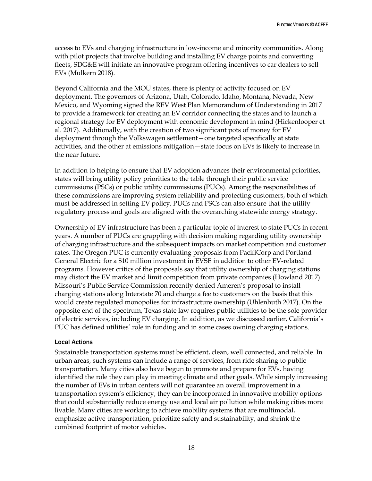access to EVs and charging infrastructure in low-income and minority communities. Along with pilot projects that involve building and installing EV charge points and converting fleets, SDG&E will initiate an innovative program offering incentives to car dealers to sell EVs (Mulkern 2018).

Beyond California and the MOU states, there is plenty of activity focused on EV deployment. The governors of Arizona, Utah, Colorado, Idaho, Montana, Nevada, New Mexico, and Wyoming signed the REV West Plan Memorandum of Understanding in 2017 to provide a framework for creating an EV corridor connecting the states and to launch a regional strategy for EV deployment with economic development in mind (Hickenlooper et al. 2017). Additionally, with the creation of two significant pots of money for EV deployment through the Volkswagen settlement—one targeted specifically at state activities, and the other at emissions mitigation—state focus on EVs is likely to increase in the near future.

In addition to helping to ensure that EV adoption advances their environmental priorities, states will bring utility policy priorities to the table through their public service commissions (PSCs) or public utility commissions (PUCs). Among the responsibilities of these commissions are improving system reliability and protecting customers, both of which must be addressed in setting EV policy. PUCs and PSCs can also ensure that the utility regulatory process and goals are aligned with the overarching statewide energy strategy.

Ownership of EV infrastructure has been a particular topic of interest to state PUCs in recent years. A number of PUCs are grappling with decision making regarding utility ownership of charging infrastructure and the subsequent impacts on market competition and customer rates. The Oregon PUC is currently evaluating proposals from PacifiCorp and Portland General Electric for a \$10 million investment in EVSE in addition to other EV-related programs. However critics of the proposals say that utility ownership of charging stations may distort the EV market and limit competition from private companies (Howland 2017). Missouri's Public Service Commission recently denied Ameren's proposal to install charging stations along Interstate 70 and charge a fee to customers on the basis that this would create regulated monopolies for infrastructure ownership (Uhlenhuth 2017). On the opposite end of the spectrum, Texas state law requires public utilities to be the sole provider of electric services, including EV charging. In addition, as we discussed earlier, California's PUC has defined utilities' role in funding and in some cases owning charging stations.

### Local Actions

Sustainable transportation systems must be efficient, clean, well connected, and reliable. In urban areas, such systems can include a range of services, from ride sharing to public transportation. Many cities also have begun to promote and prepare for EVs, having identified the role they can play in meeting climate and other goals. While simply increasing the number of EVs in urban centers will not guarantee an overall improvement in a transportation system's efficiency, they can be incorporated in innovative mobility options that could substantially reduce energy use and local air pollution while making cities more livable. Many cities are working to achieve mobility systems that are multimodal, emphasize active transportation, prioritize safety and sustainability, and shrink the combined footprint of motor vehicles.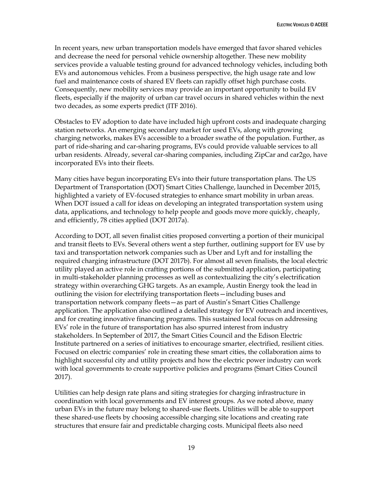In recent years, new urban transportation models have emerged that favor shared vehicles and decrease the need for personal vehicle ownership altogether. These new mobility services provide a valuable testing ground for advanced technology vehicles, including both EVs and autonomous vehicles. From a business perspective, the high usage rate and low fuel and maintenance costs of shared EV fleets can rapidly offset high purchase costs. Consequently, new mobility services may provide an important opportunity to build EV fleets, especially if the majority of urban car travel occurs in shared vehicles within the next two decades, as some experts predict (ITF 2016).

Obstacles to EV adoption to date have included high upfront costs and inadequate charging station networks. An emerging secondary market for used EVs, along with growing charging networks, makes EVs accessible to a broader swathe of the population. Further, as part of ride-sharing and car-sharing programs, EVs could provide valuable services to all urban residents. Already, several car-sharing companies, including ZipCar and car2go, have incorporated EVs into their fleets.

Many cities have begun incorporating EVs into their future transportation plans. The US Department of Transportation (DOT) Smart Cities Challenge, launched in December 2015, highlighted a variety of EV-focused strategies to enhance smart mobility in urban areas. When DOT issued a call for ideas on developing an integrated transportation system using data, applications, and technology to help people and goods move more quickly, cheaply, and efficiently, 78 cities applied (DOT 2017a).

According to DOT, all seven finalist cities proposed converting a portion of their municipal and transit fleets to EVs. Several others went a step further, outlining support for EV use by taxi and transportation network companies such as Uber and Lyft and for installing the required charging infrastructure (DOT 2017b). For almost all seven finalists, the local electric utility played an active role in crafting portions of the submitted application, participating in multi-stakeholder planning processes as well as contextualizing the city's electrification strategy within overarching GHG targets. As an example, Austin Energy took the lead in outlining the vision for electrifying transportation fleets—including buses and transportation network company fleets—as part of Austin's Smart Cities Challenge application. The application also outlined a detailed strategy for EV outreach and incentives, and for creating innovative financing programs. This sustained local focus on addressing EVs' role in the future of transportation has also spurred interest from industry stakeholders. In September of 2017, the Smart Cities Council and the Edison Electric Institute partnered on a series of initiatives to encourage smarter, electrified, resilient cities. Focused on electric companies' role in creating these smart cities, the collaboration aims to highlight successful city and utility projects and how the electric power industry can work with local governments to create supportive policies and programs (Smart Cities Council 2017).

Utilities can help design rate plans and siting strategies for charging infrastructure in coordination with local governments and EV interest groups. As we noted above, many urban EVs in the future may belong to shared-use fleets. Utilities will be able to support these shared-use fleets by choosing accessible charging site locations and creating rate structures that ensure fair and predictable charging costs. Municipal fleets also need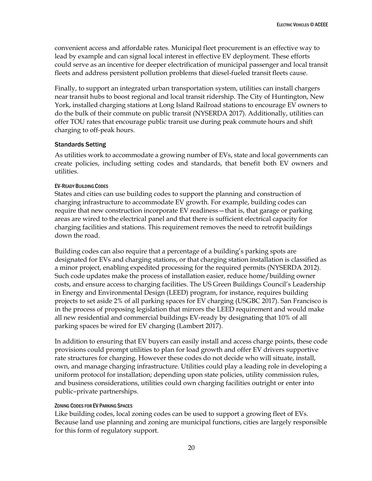convenient access and affordable rates. Municipal fleet procurement is an effective way to lead by example and can signal local interest in effective EV deployment. These efforts could serve as an incentive for deeper electrification of municipal passenger and local transit fleets and address persistent pollution problems that diesel-fueled transit fleets cause.

Finally, to support an integrated urban transportation system, utilities can install chargers near transit hubs to boost regional and local transit ridership. The City of Huntington, New York, installed charging stations at Long Island Railroad stations to encourage EV owners to do the bulk of their commute on public transit (NYSERDA 2017). Additionally, utilities can offer TOU rates that encourage public transit use during peak commute hours and shift charging to off-peak hours.

### Standards Setting

As utilities work to accommodate a growing number of EVs, state and local governments can create policies, including setting codes and standards, that benefit both EV owners and utilities.

### EV-READY BUILDING CODES

States and cities can use building codes to support the planning and construction of charging infrastructure to accommodate EV growth. For example, building codes can require that new construction incorporate EV readiness—that is, that garage or parking areas are wired to the electrical panel and that there is sufficient electrical capacity for charging facilities and stations. This requirement removes the need to retrofit buildings down the road.

Building codes can also require that a percentage of a building's parking spots are designated for EVs and charging stations, or that charging station installation is classified as a minor project, enabling expedited processing for the required permits (NYSERDA 2012). Such code updates make the process of installation easier, reduce home/building owner costs, and ensure access to charging facilities. The US Green Buildings Council's Leadership in Energy and Environmental Design (LEED) program, for instance, requires building projects to set aside 2% of all parking spaces for EV charging (USGBC 2017). San Francisco is in the process of proposing legislation that mirrors the LEED requirement and would make all new residential and commercial buildings EV-ready by designating that 10% of all parking spaces be wired for EV charging (Lambert 2017).

In addition to ensuring that EV buyers can easily install and access charge points, these code provisions could prompt utilities to plan for load growth and offer EV drivers supportive rate structures for charging. However these codes do not decide who will situate, install, own, and manage charging infrastructure. Utilities could play a leading role in developing a uniform protocol for installation; depending upon state policies, utility commission rules, and business considerations, utilities could own charging facilities outright or enter into public–private partnerships.

### ZONING CODES FOR EV PARKING SPACES

Like building codes, local zoning codes can be used to support a growing fleet of EVs. Because land use planning and zoning are municipal functions, cities are largely responsible for this form of regulatory support.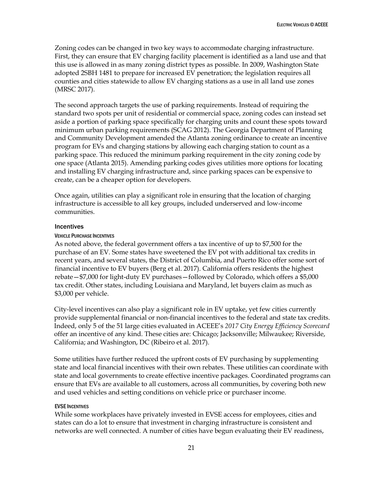Zoning codes can be changed in two key ways to accommodate charging infrastructure. First, they can ensure that EV charging facility placement is identified as a land use and that this use is allowed in as many zoning district types as possible. In 2009, Washington State adopted 2SBH 1481 to prepare for increased EV penetration; the legislation requires all counties and cities statewide to allow EV charging stations as a use in all land use zones (MRSC 2017).

The second approach targets the use of parking requirements. Instead of requiring the standard two spots per unit of residential or commercial space, zoning codes can instead set aside a portion of parking space specifically for charging units and count these spots toward minimum urban parking requirements (SCAG 2012). The Georgia Department of Planning and Community Development amended the Atlanta zoning ordinance to create an incentive program for EVs and charging stations by allowing each charging station to count as a parking space. This reduced the minimum parking requirement in the city zoning code by one space (Atlanta 2015). Amending parking codes gives utilities more options for locating and installing EV charging infrastructure and, since parking spaces can be expensive to create, can be a cheaper option for developers.

Once again, utilities can play a significant role in ensuring that the location of charging infrastructure is accessible to all key groups, included underserved and low-income communities.

### **Incentives**

### VEHICLE PURCHASE INCENTIVES

As noted above, the federal government offers a tax incentive of up to \$7,500 for the purchase of an EV. Some states have sweetened the EV pot with additional tax credits in recent years, and several states, the District of Columbia, and Puerto Rico offer some sort of financial incentive to EV buyers (Berg et al. 2017). California offers residents the highest rebate—\$7,000 for light-duty EV purchases—followed by Colorado, which offers a \$5,000 tax credit. Other states, including Louisiana and Maryland, let buyers claim as much as \$3,000 per vehicle.

City-level incentives can also play a significant role in EV uptake, yet few cities currently provide supplemental financial or non-financial incentives to the federal and state tax credits. Indeed, only 5 of the 51 large cities evaluated in ACEEE's *2017 City Energy Efficiency Scorecard*  offer an incentive of any kind. These cities are: Chicago; Jacksonville; Milwaukee; Riverside, California; and Washington, DC (Ribeiro et al. 2017).

Some utilities have further reduced the upfront costs of EV purchasing by supplementing state and local financial incentives with their own rebates. These utilities can coordinate with state and local governments to create effective incentive packages. Coordinated programs can ensure that EVs are available to all customers, across all communities, by covering both new and used vehicles and setting conditions on vehicle price or purchaser income.

### EVSE INCENTIVES

While some workplaces have privately invested in EVSE access for employees, cities and states can do a lot to ensure that investment in charging infrastructure is consistent and networks are well connected. A number of cities have begun evaluating their EV readiness,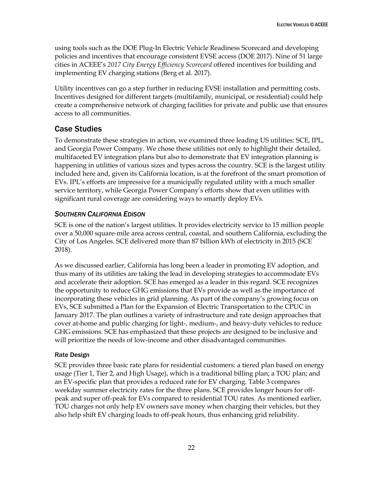using tools such as the DOE Plug-In Electric Vehicle Readiness Scorecard and developing policies and incentives that encourage consistent EVSE access (DOE 2017). Nine of 51 large cities in ACEEE's *2017 City Energy Efficiency Scorecard* offered incentives for building and implementing EV charging stations (Berg et al. 2017).

Utility incentives can go a step further in reducing EVSE installation and permitting costs. Incentives designed for different targets (multifamily, municipal, or residential) could help create a comprehensive network of charging facilities for private and public use that ensures access to all communities.

# <span id="page-28-0"></span>Case Studies

To demonstrate these strategies in action, we examined three leading US utilities: SCE, IPL, and Georgia Power Company. We chose these utilities not only to highlight their detailed, multifaceted EV integration plans but also to demonstrate that EV integration planning is happening in utilities of various sizes and types across the country. SCE is the largest utility included here and, given its California location, is at the forefront of the smart promotion of EVs. IPL's efforts are impressive for a municipally regulated utility with a much smaller service territory, while Georgia Power Company's efforts show that even utilities with significant rural coverage are considering ways to smartly deploy EVs.

# <span id="page-28-1"></span>*SOUTHERN CALIFORNIA EDISON*

SCE is one of the nation's largest utilities. It provides electricity service to 15 million people over a 50,000 square-mile area across central, coastal, and southern California, excluding the City of Los Angeles. SCE delivered more than 87 billion kWh of electricity in 2015 (SCE 2018).

As we discussed earlier, California has long been a leader in promoting EV adoption, and thus many of its utilities are taking the lead in developing strategies to accommodate EVs and accelerate their adoption. SCE has emerged as a leader in this regard. SCE recognizes the opportunity to reduce GHG emissions that EVs provide as well as the importance of incorporating these vehicles in grid planning. As part of the company's growing focus on EVs, SCE submitted a Plan for the Expansion of Electric Transportation to the CPUC in January 2017. The plan outlines a variety of infrastructure and rate design approaches that cover at-home and public charging for light-, medium-, and heavy-duty vehicles to reduce GHG emissions. SCE has emphasized that these projects are designed to be inclusive and will prioritize the needs of low-income and other disadvantaged communities.

# Rate Design

SCE provides three basic rate plans for residential customers: a tiered plan based on energy usage (Tier 1, Tier 2, and High Usage), which is a traditional billing plan; a TOU plan; and an EV-specific plan that provides a reduced rate for EV charging. Table 3 compares weekday summer electricity rates for the three plans. SCE provides longer hours for offpeak and super off-peak for EVs compared to residential TOU rates. As mentioned earlier, TOU charges not only help EV owners save money when charging their vehicles, but they also help shift EV charging loads to off-peak hours, thus enhancing grid reliability.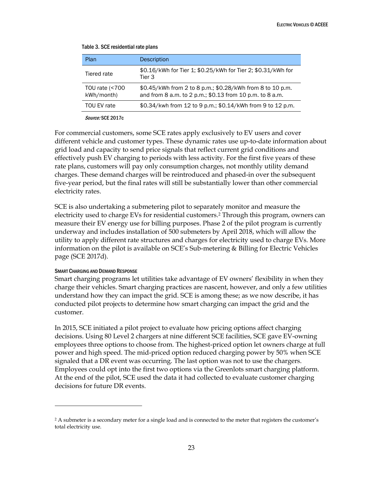| Plan                         | <b>Description</b>                                                                                                    |
|------------------------------|-----------------------------------------------------------------------------------------------------------------------|
| Tiered rate                  | \$0.16/kWh for Tier 1; \$0.25/kWh for Tier 2; \$0.31/kWh for<br>Tier 3                                                |
| TOU rate (<700<br>kWh/month) | \$0.45/kWh from 2 to 8 p.m.; \$0.28/kWh from 8 to 10 p.m.<br>and from 8 a.m. to 2 p.m.; \$0.13 from 10 p.m. to 8 a.m. |
| TOU EV rate                  | \$0.34/kwh from 12 to 9 p.m.; \$0.14/kWh from 9 to 12 p.m.                                                            |
|                              |                                                                                                                       |

#### Table 3. SCE residential rate plans

Source: SCE 2017c

For commercial customers, some SCE rates apply exclusively to EV users and cover different vehicle and customer types. These dynamic rates use up-to-date information about grid load and capacity to send price signals that reflect current grid conditions and effectively push EV charging to periods with less activity. For the first five years of these rate plans, customers will pay only consumption charges, not monthly utility demand charges. These demand charges will be reintroduced and phased-in over the subsequent five-year period, but the final rates will still be substantially lower than other commercial electricity rates.

SCE is also undertaking a submetering pilot to separately monitor and measure the electricity used to charge EVs for residential customers.<sup>2</sup> Through this program, owners can measure their EV energy use for billing purposes. Phase 2 of the pilot program is currently underway and includes installation of 500 submeters by April 2018, which will allow the utility to apply different rate structures and charges for electricity used to charge EVs. More information on the pilot is available on SCE's Sub-metering & Billing for Electric Vehicles page (SCE 2017d).

### SMART CHARGING AND DEMAND RESPONSE

 $\overline{a}$ 

Smart charging programs let utilities take advantage of EV owners' flexibility in when they charge their vehicles. Smart charging practices are nascent, however, and only a few utilities understand how they can impact the grid. SCE is among these; as we now describe, it has conducted pilot projects to determine how smart charging can impact the grid and the customer.

In 2015, SCE initiated a pilot project to evaluate how pricing options affect charging decisions. Using 80 Level 2 chargers at nine different SCE facilities, SCE gave EV-owning employees three options to choose from. The highest-priced option let owners charge at full power and high speed. The mid-priced option reduced charging power by 50% when SCE signaled that a DR event was occurring. The last option was not to use the chargers. Employees could opt into the first two options via the Greenlots smart charging platform. At the end of the pilot, SCE used the data it had collected to evaluate customer charging decisions for future DR events.

<sup>&</sup>lt;sup>2</sup> A submeter is a secondary meter for a single load and is connected to the meter that registers the customer's total electricity use.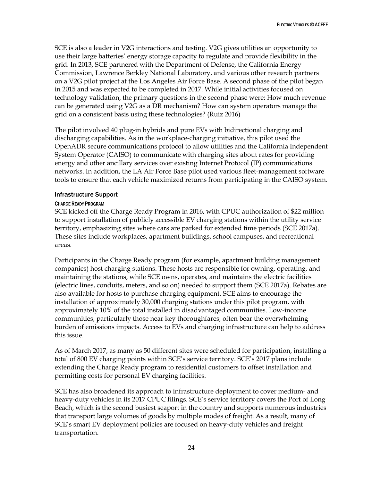SCE is also a leader in V2G interactions and testing. V2G gives utilities an opportunity to use their large batteries' energy storage capacity to regulate and provide flexibility in the grid. In 2013, SCE partnered with the Department of Defense, the California Energy Commission, Lawrence Berkley National Laboratory, and various other research partners on a V2G pilot project at the Los Angeles Air Force Base. A second phase of the pilot began in 2015 and was expected to be completed in 2017. While initial activities focused on technology validation, the primary questions in the second phase were: How much revenue can be generated using V2G as a DR mechanism? How can system operators manage the grid on a consistent basis using these technologies? (Ruiz 2016)

The pilot involved 40 plug-in hybrids and pure EVs with bidirectional charging and discharging capabilities. As in the workplace-charging initiative, this pilot used the OpenADR secure communications protocol to allow utilities and the California Independent System Operator (CAISO) to communicate with charging sites about rates for providing energy and other ancillary services over existing Internet Protocol (IP) communications networks. In addition, the LA Air Force Base pilot used various fleet-management software tools to ensure that each vehicle maximized returns from participating in the CAISO system.

### Infrastructure Support

### CHARGE READY PROGRAM

SCE kicked off the Charge Ready Program in 2016, with CPUC authorization of \$22 million to support installation of publicly accessible EV charging stations within the utility service territory, emphasizing sites where cars are parked for extended time periods (SCE 2017a). These sites include workplaces, apartment buildings, school campuses, and recreational areas.

Participants in the Charge Ready program (for example, apartment building management companies) host charging stations. These hosts are responsible for owning, operating, and maintaining the stations, while SCE owns, operates, and maintains the electric facilities (electric lines, conduits, meters, and so on) needed to support them (SCE 2017a). Rebates are also available for hosts to purchase charging equipment. SCE aims to encourage the installation of approximately 30,000 charging stations under this pilot program, with approximately 10% of the total installed in disadvantaged communities. Low-income communities, particularly those near key thoroughfares, often bear the overwhelming burden of emissions impacts. Access to EVs and charging infrastructure can help to address this issue.

As of March 2017, as many as 50 different sites were scheduled for participation, installing a total of 800 EV charging points within SCE's service territory. SCE's 2017 plans include extending the Charge Ready program to residential customers to offset installation and permitting costs for personal EV charging facilities.

SCE has also broadened its approach to infrastructure deployment to cover medium- and heavy-duty vehicles in its 2017 CPUC filings. SCE's service territory covers the Port of Long Beach, which is the second busiest seaport in the country and supports numerous industries that transport large volumes of goods by multiple modes of freight. As a result, many of SCE's smart EV deployment policies are focused on heavy-duty vehicles and freight transportation.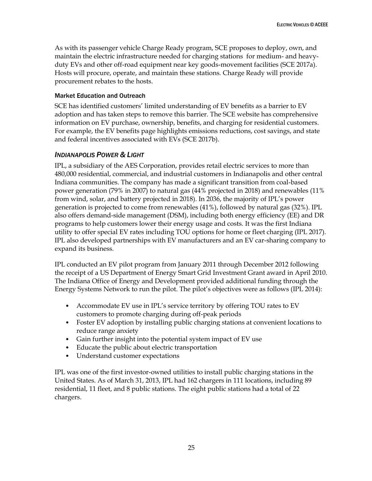As with its passenger vehicle Charge Ready program, SCE proposes to deploy, own, and maintain the electric infrastructure needed for charging stations for medium- and heavyduty EVs and other off-road equipment near key goods-movement facilities (SCE 2017a). Hosts will procure, operate, and maintain these stations. Charge Ready will provide procurement rebates to the hosts.

## Market Education and Outreach

SCE has identified customers' limited understanding of EV benefits as a barrier to EV adoption and has taken steps to remove this barrier. The SCE website has comprehensive information on EV purchase, ownership, benefits, and charging for residential customers. For example, the EV benefits page highlights emissions reductions, cost savings, and state and federal incentives associated with EVs (SCE 2017b).

# <span id="page-31-0"></span>*INDIANAPOLIS POWER & LIGHT*

IPL, a subsidiary of the AES Corporation, provides retail electric services to more than 480,000 residential, commercial, and industrial customers in Indianapolis and other central Indiana communities. The company has made a significant transition from coal-based power generation (79% in 2007) to natural gas (44% projected in 2018) and renewables (11% from wind, solar, and battery projected in 2018). In 2036, the majority of IPL's power generation is projected to come from renewables (41%), followed by natural gas (32%). IPL also offers demand-side management (DSM), including both energy efficiency (EE) and DR programs to help customers lower their energy usage and costs. It was the first Indiana utility to offer special EV rates including TOU options for home or fleet charging (IPL 2017). IPL also developed partnerships with EV manufacturers and an EV car-sharing company to expand its business.

IPL conducted an EV pilot program from January 2011 through December 2012 following the receipt of a US Department of Energy Smart Grid Investment Grant award in April 2010. The Indiana Office of Energy and Development provided additional funding through the Energy Systems Network to run the pilot. The pilot's objectives were as follows (IPL 2014):

- Accommodate EV use in IPL's service territory by offering TOU rates to EV customers to promote charging during off-peak periods
- Foster EV adoption by installing public charging stations at convenient locations to reduce range anxiety
- Gain further insight into the potential system impact of EV use
- Educate the public about electric transportation
- Understand customer expectations

IPL was one of the first investor-owned utilities to install public charging stations in the United States. As of March 31, 2013, IPL had 162 chargers in 111 locations, including 89 residential, 11 fleet, and 8 public stations. The eight public stations had a total of 22 chargers.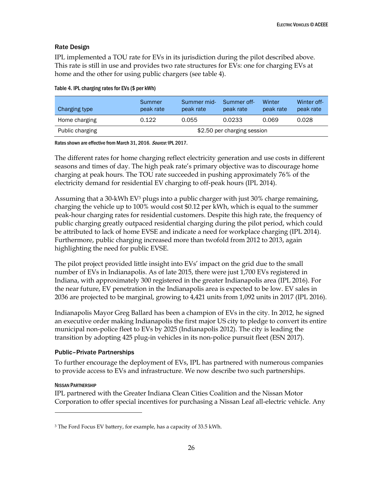## Rate Design

IPL implemented a TOU rate for EVs in its jurisdiction during the pilot described above. This rate is still in use and provides two rate structures for EVs: one for charging EVs at home and the other for using public chargers (see table 4).

| Charging type   | Summer<br>peak rate         | Summer mid-<br>peak rate | Summer off-<br>peak rate | Winter<br>peak rate | Winter off-<br>peak rate |
|-----------------|-----------------------------|--------------------------|--------------------------|---------------------|--------------------------|
| Home charging   | 0.122                       | 0.055                    | 0.0233                   | 0.069               | 0.028                    |
| Public charging | \$2.50 per charging session |                          |                          |                     |                          |

|  |  |  | Table 4. IPL charging rates for EVs (\$ per kWh) |
|--|--|--|--------------------------------------------------|
|  |  |  |                                                  |

Rates shown are effective from March 31, 2016. Source: IPL 2017.

The different rates for home charging reflect electricity generation and use costs in different seasons and times of day. The high peak rate's primary objective was to discourage home charging at peak hours. The TOU rate succeeded in pushing approximately 76% of the electricity demand for residential EV charging to off-peak hours (IPL 2014).

Assuming that a 30-kWh EV<sup>3</sup> plugs into a public charger with just 30% charge remaining, charging the vehicle up to 100% would cost \$0.12 per kWh, which is equal to the summer peak-hour charging rates for residential customers. Despite this high rate, the frequency of public charging greatly outpaced residential charging during the pilot period, which could be attributed to lack of home EVSE and indicate a need for workplace charging (IPL 2014). Furthermore, public charging increased more than twofold from 2012 to 2013, again highlighting the need for public EVSE.

The pilot project provided little insight into EVs' impact on the grid due to the small number of EVs in Indianapolis. As of late 2015, there were just 1,700 EVs registered in Indiana, with approximately 300 registered in the greater Indianapolis area (IPL 2016). For the near future, EV penetration in the Indianapolis area is expected to be low. EV sales in 2036 are projected to be marginal, growing to 4,421 units from 1,092 units in 2017 (IPL 2016).

Indianapolis Mayor Greg Ballard has been a champion of EVs in the city. In 2012, he signed an executive order making Indianapolis the first major US city to pledge to convert its entire municipal non-police fleet to EVs by 2025 (Indianapolis 2012). The city is leading the transition by adopting 425 plug-in vehicles in its non-police pursuit fleet (ESN 2017).

### Public–Private Partnerships

To further encourage the deployment of EVs, IPL has partnered with numerous companies to provide access to EVs and infrastructure. We now describe two such partnerships.

### NISSAN PARTNERSHIP

 $\ddot{\phantom{a}}$ 

IPL partnered with the Greater Indiana Clean Cities Coalition and the Nissan Motor Corporation to offer special incentives for purchasing a Nissan Leaf all-electric vehicle. Any

<sup>&</sup>lt;sup>3</sup> The Ford Focus EV battery, for example, has a capacity of 33.5 kWh.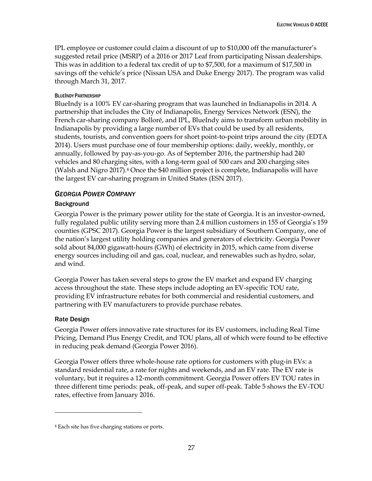IPL employee or customer could claim a discount of up to \$10,000 off the manufacturer's suggested retail price (MSRP) of a 2016 or 2017 Leaf from participating Nissan dealerships. This was in addition to a federal tax credit of up to \$7,500, for a maximum of \$17,500 in savings off the vehicle's price (Nissan USA and Duke Energy 2017). The program was valid through March 31, 2017.

## BLUEINDY PARTNERSHIP

BlueIndy is a 100% EV car-sharing program that was launched in Indianapolis in 2014. A partnership that includes the City of Indianapolis, Energy Services Network (ESN), the French car-sharing company Bolloré, and IPL, BlueIndy aims to transform urban mobility in Indianapolis by providing a large number of EVs that could be used by all residents, students, tourists, and convention goers for short point-to-point trips around the city (EDTA 2014). Users must purchase one of four membership options: daily, weekly, monthly, or annually, followed by pay-as-you-go. As of September 2016, the partnership had 240 vehicles and 80 charging sites, with a long-term goal of 500 cars and 200 charging sites (Walsh and Nigro 2017).<sup>4</sup> Once the \$40 million project is complete, Indianapolis will have the largest EV car-sharing program in United States (ESN 2017).

# <span id="page-33-0"></span>*GEORGIA POWER COMPANY*

## **Background**

Georgia Power is the primary power utility for the state of Georgia. It is an investor-owned, fully regulated public utility serving more than 2.4 million customers in 155 of Georgia's 159 counties (GPSC 2017). Georgia Power is the largest subsidiary of Southern Company, one of the nation's largest utility holding companies and generators of electricity. Georgia Power sold about 84,000 gigawatt-hours (GWh) of electricity in 2015, which came from diverse energy sources including oil and gas, coal, nuclear, and renewables such as hydro, solar, and wind.

Georgia Power has taken several steps to grow the EV market and expand EV charging access throughout the state. These steps include adopting an EV-specific TOU rate, providing EV infrastructure rebates for both commercial and residential customers, and partnering with EV manufacturers to provide purchase rebates.

## Rate Design

 $\ddot{\phantom{a}}$ 

Georgia Power offers innovative rate structures for its EV customers, including Real Time Pricing, Demand Plus Energy Credit, and TOU plans, all of which were found to be effective in reducing peak demand (Georgia Power 2016).

Georgia Power offers three whole-house rate options for customers with plug-in EVs: a standard residential rate, a rate for nights and weekends, and an EV rate. The EV rate is voluntary, but it requires a 12-month commitment. Georgia Power offers EV TOU rates in three different time periods: peak, off-peak, and super off-peak. Table 5 shows the EV-TOU rates, effective from January 2016.

<sup>4</sup> Each site has five charging stations or ports.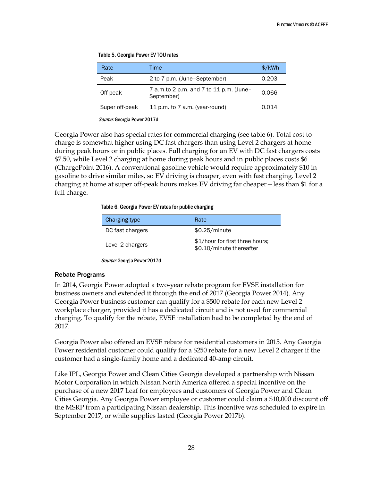| Rate           | Time                                                  | $\frac{\sqrt{2}}{2}$ |
|----------------|-------------------------------------------------------|----------------------|
| Peak           | 2 to 7 p.m. (June-September)                          | 0.203                |
| Off-peak       | 7 a.m.to 2 p.m. and 7 to 11 p.m. (June-<br>September) | 0.066                |
| Super off-peak | 11 p.m. to 7 a.m. (year-round)                        | 0.014                |

Table 5. Georgia Power EV TOU rates

Source: Georgia Power 2017d

Georgia Power also has special rates for commercial charging (see table 6). Total cost to charge is somewhat higher using DC fast chargers than using Level 2 chargers at home during peak hours or in public places. Full charging for an EV with DC fast chargers costs \$7.50, while Level 2 charging at home during peak hours and in public places costs \$6 (ChargePoint 2016). A conventional gasoline vehicle would require approximately \$10 in gasoline to drive similar miles, so EV driving is cheaper, even with fast charging. Level 2 charging at home at super off-peak hours makes EV driving far cheaper—less than \$1 for a full charge.

Table 6. Georgia Power EV rates for public charging

| Charging type    | Rate                                                        |
|------------------|-------------------------------------------------------------|
| DC fast chargers | \$0.25/minute                                               |
| Level 2 chargers | \$1/hour for first three hours;<br>\$0.10/minute thereafter |

Source: Georgia Power 2017d

### Rebate Programs

In 2014, Georgia Power adopted a two-year rebate program for EVSE installation for business owners and extended it through the end of 2017 (Georgia Power 2014). Any Georgia Power business customer can qualify for a \$500 rebate for each new Level 2 workplace charger, provided it has a dedicated circuit and is not used for commercial charging. To qualify for the rebate, EVSE installation had to be completed by the end of 2017.

Georgia Power also offered an EVSE rebate for residential customers in 2015. Any Georgia Power residential customer could qualify for a \$250 rebate for a new Level 2 charger if the customer had a single-family home and a dedicated 40-amp circuit.

Like IPL, Georgia Power and Clean Cities Georgia developed a partnership with Nissan Motor Corporation in which Nissan North America offered a special incentive on the purchase of a new 2017 Leaf for employees and customers of Georgia Power and Clean Cities Georgia. Any Georgia Power employee or customer could claim a \$10,000 discount off the MSRP from a participating Nissan dealership. This incentive was scheduled to expire in September 2017, or while supplies lasted (Georgia Power 2017b).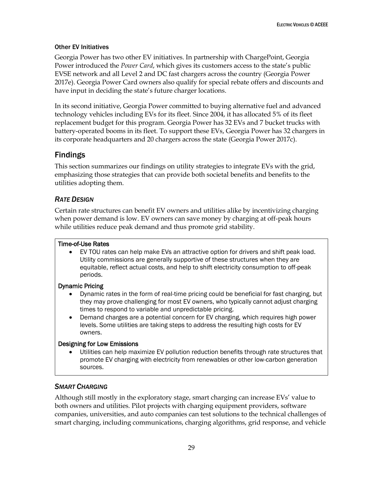## Other EV Initiatives

Georgia Power has two other EV initiatives. In partnership with ChargePoint, Georgia Power introduced the *Power Card*, which gives its customers access to the state's public EVSE network and all Level 2 and DC fast chargers across the country (Georgia Power 2017e). Georgia Power Card owners also qualify for special rebate offers and discounts and have input in deciding the state's future charger locations.

In its second initiative, Georgia Power committed to buying alternative fuel and advanced technology vehicles including EVs for its fleet. Since 2004, it has allocated 5% of its fleet replacement budget for this program. Georgia Power has 32 EVs and 7 bucket trucks with battery-operated booms in its fleet. To support these EVs, Georgia Power has 32 chargers in its corporate headquarters and 20 chargers across the state (Georgia Power 2017c).

# <span id="page-35-0"></span>Findings

This section summarizes our findings on utility strategies to integrate EVs with the grid, emphasizing those strategies that can provide both societal benefits and benefits to the utilities adopting them.

# <span id="page-35-1"></span>*RATE DESIGN*

Certain rate structures can benefit EV owners and utilities alike by incentivizing charging when power demand is low. EV owners can save money by charging at off-peak hours while utilities reduce peak demand and thus promote grid stability.

# Time-of-Use Rates

 EV TOU rates can help make EVs an attractive option for drivers and shift peak load. Utility commissions are generally supportive of these structures when they are equitable, reflect actual costs, and help to shift electricity consumption to off-peak periods.

# Dynamic Pricing

- Dynamic rates in the form of real-time pricing could be beneficial for fast charging, but they may prove challenging for most EV owners, who typically cannot adjust charging times to respond to variable and unpredictable pricing.
- Demand charges are a potential concern for EV charging, which requires high power levels. Some utilities are taking steps to address the resulting high costs for EV owners.

# Designing for Low Emissions

 Utilities can help maximize EV pollution reduction benefits through rate structures that promote EV charging with electricity from renewables or other low-carbon generation sources.

# <span id="page-35-2"></span>*SMART CHARGING*

Although still mostly in the exploratory stage, smart charging can increase EVs' value to both owners and utilities. Pilot projects with charging equipment providers, software companies, universities, and auto companies can test solutions to the technical challenges of smart charging, including communications, charging algorithms, grid response, and vehicle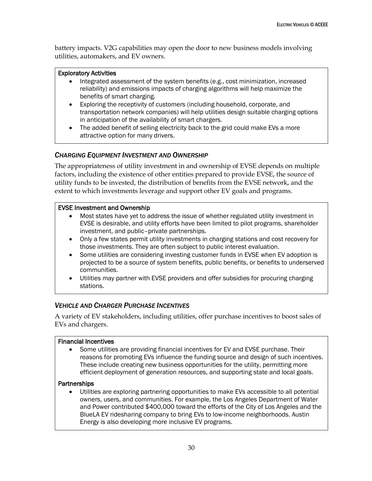battery impacts. V2G capabilities may open the door to new business models involving utilities, automakers, and EV owners.

### Exploratory Activities

- Integrated assessment of the system benefits (e.g., cost minimization, increased reliability) and emissions impacts of charging algorithms will help maximize the benefits of smart charging.
- Exploring the receptivity of customers (including household, corporate, and transportation network companies) will help utilities design suitable charging options in anticipation of the availability of smart chargers.
- The added benefit of selling electricity back to the grid could make EVs a more attractive option for many drivers.

# <span id="page-36-0"></span>*CHARGING EQUIPMENT INVESTMENT AND OWNERSHIP*

The appropriateness of utility investment in and ownership of EVSE depends on multiple factors, including the existence of other entities prepared to provide EVSE, the source of utility funds to be invested, the distribution of benefits from the EVSE network, and the extent to which investments leverage and support other EV goals and programs.

### EVSE Investment and Ownership

- Most states have yet to address the issue of whether regulated utility investment in EVSE is desirable, and utility efforts have been limited to pilot programs, shareholder investment, and public–private partnerships.
- Only a few states permit utility investments in charging stations and cost recovery for those investments. They are often subject to public interest evaluation.
- Some utilities are considering investing customer funds in EVSE when EV adoption is projected to be a source of system benefits, public benefits, or benefits to underserved communities.
- Utilities may partner with EVSE providers and offer subsidies for procuring charging stations.

## <span id="page-36-1"></span>*VEHICLE AND CHARGER PURCHASE INCENTIVES*

A variety of EV stakeholders, including utilities, offer purchase incentives to boost sales of EVs and chargers.

### Financial Incentives

 Some utilities are providing financial incentives for EV and EVSE purchase. Their reasons for promoting EVs influence the funding source and design of such incentives. These include creating new business opportunities for the utility, permitting more efficient deployment of generation resources, and supporting state and local goals.

### **Partnerships**

 Utilities are exploring partnering opportunities to make EVs accessible to all potential owners, users, and communities. For example, the Los Angeles Department of Water and Power contributed \$400,000 toward the efforts of the City of Los Angeles and the BlueLA EV ridesharing company to bring EVs to low-income neighborhoods. Austin Energy is also developing more inclusive EV programs.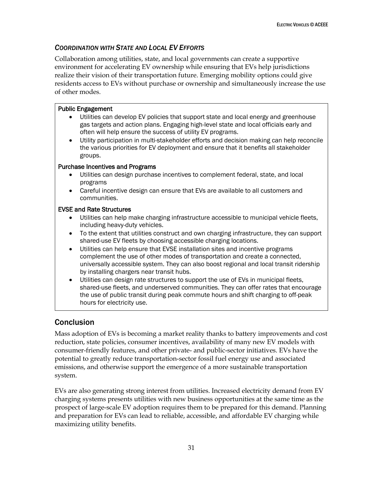# <span id="page-37-0"></span>*COORDINATION WITH STATE AND LOCAL EV EFFORTS*

Collaboration among utilities, state, and local governments can create a supportive environment for accelerating EV ownership while ensuring that EVs help jurisdictions realize their vision of their transportation future. Emerging mobility options could give residents access to EVs without purchase or ownership and simultaneously increase the use of other modes.

# Public Engagement

- Utilities can develop EV policies that support state and local energy and greenhouse gas targets and action plans. Engaging high-level state and local officials early and often will help ensure the success of utility EV programs.
- Utility participation in multi-stakeholder efforts and decision making can help reconcile the various priorities for EV deployment and ensure that it benefits all stakeholder groups.

## Purchase Incentives and Programs

- Utilities can design purchase incentives to complement federal, state, and local programs
- Careful incentive design can ensure that EVs are available to all customers and communities.

# EVSE and Rate Structures

- Utilities can help make charging infrastructure accessible to municipal vehicle fleets, including heavy-duty vehicles.
- To the extent that utilities construct and own charging infrastructure, they can support shared-use EV fleets by choosing accessible charging locations.
- Utilities can help ensure that EVSE installation sites and incentive programs complement the use of other modes of transportation and create a connected, universally accessible system. They can also boost regional and local transit ridership by installing chargers near transit hubs.
- Utilities can design rate structures to support the use of EVs in municipal fleets, shared-use fleets, and underserved communities. They can offer rates that encourage the use of public transit during peak commute hours and shift charging to off-peak hours for electricity use.

# <span id="page-37-1"></span>Conclusion

Mass adoption of EVs is becoming a market reality thanks to battery improvements and cost reduction, state policies, consumer incentives, availability of many new EV models with consumer-friendly features, and other private- and public-sector initiatives. EVs have the potential to greatly reduce transportation-sector fossil fuel energy use and associated emissions, and otherwise support the emergence of a more sustainable transportation system.

EVs are also generating strong interest from utilities. Increased electricity demand from EV charging systems presents utilities with new business opportunities at the same time as the prospect of large-scale EV adoption requires them to be prepared for this demand. Planning and preparation for EVs can lead to reliable, accessible, and affordable EV charging while maximizing utility benefits.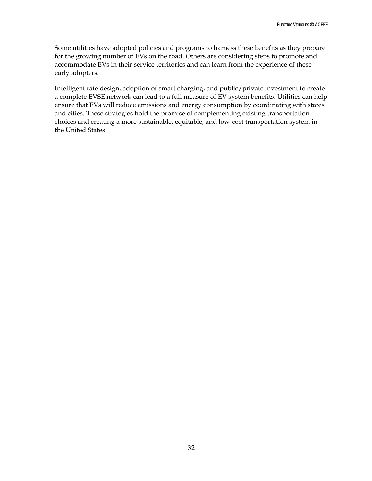Some utilities have adopted policies and programs to harness these benefits as they prepare for the growing number of EVs on the road. Others are considering steps to promote and accommodate EVs in their service territories and can learn from the experience of these early adopters.

Intelligent rate design, adoption of smart charging, and public/private investment to create a complete EVSE network can lead to a full measure of EV system benefits. Utilities can help ensure that EVs will reduce emissions and energy consumption by coordinating with states and cities. These strategies hold the promise of complementing existing transportation choices and creating a more sustainable, equitable, and low-cost transportation system in the United States.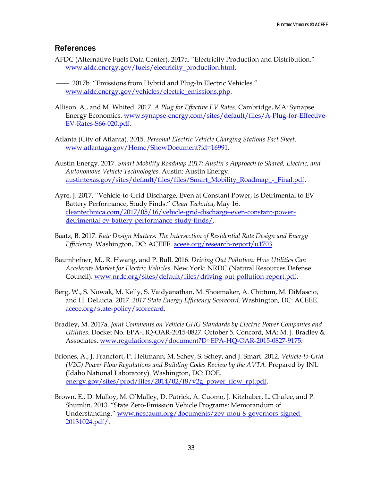# <span id="page-39-0"></span>References

- AFDC (Alternative Fuels Data Center). 2017a. "Electricity Production and Distribution." [www.afdc.energy.gov/fuels/electricity\\_production.html.](https://www.afdc.energy.gov/fuels/electricity_production.html)
- ———. 2017b. "Emissions from Hybrid and Plug-In Electric Vehicles." [www.afdc.energy.gov/vehicles/electric\\_emissions.php.](https://www.afdc.energy.gov/vehicles/electric_emissions.php)
- Allison. A., and M. Whited. 2017. *A Plug for Effective EV Rates.* Cambridge, MA: Synapse Energy Economics[. www.synapse-energy.com/sites/default/files/A-Plug-for-Effective-](http://www.synapse-energy.com/sites/default/files/A-Plug-for-Effective-EV-Rates-S66-020.pdf)[EV-Rates-S66-020.pdf.](http://www.synapse-energy.com/sites/default/files/A-Plug-for-Effective-EV-Rates-S66-020.pdf)
- Atlanta (City of Atlanta). 2015. *Personal Electric Vehicle Charging Stations Fact Sheet*. [www.atlantaga.gov/Home/ShowDocument?id=16991.](http://www.atlantaga.gov/Home/ShowDocument?id=16991)
- Austin Energy. 2017. *Smart Mobility Roadmap 2017: Austin's Approach to Shared, Electric, and Autonomous Vehicle Technologies*. Austin: Austin Energy. [austintexas.gov/sites/default/files/files/Smart\\_Mobility\\_Roadmap\\_-\\_Final.pdf.](http://austintexas.gov/sites/default/files/files/Smart_Mobility_Roadmap_-_Final.pdf)
- Ayre, J. 2017. "Vehicle-to-Grid Discharge, Even at Constant Power, Is Detrimental to EV Battery Performance, Study Finds." *Clean Technica*, May 16. [cleantechnica.com/2017/05/16/vehicle-grid-discharge-even-constant-power](https://cleantechnica.com/2017/05/16/vehicle-grid-discharge-even-constant-power-detrimental-ev-battery-performance-study-finds/)[detrimental-ev-battery-performance-study-finds/.](https://cleantechnica.com/2017/05/16/vehicle-grid-discharge-even-constant-power-detrimental-ev-battery-performance-study-finds/)
- Baatz, B. 2017. *Rate Design Matters: The Intersection of Residential Rate Design and Energy Efficiency.* Washington, DC: ACEEE. [aceee.org/research-report/u1703.](https://aceee.org/research-report/u1703)
- Baumhefner, M., R. Hwang, and P. Bull. 2016. *Driving Out Pollution: How Utilities Can Accelerate Market for Electric Vehicles.* New York: NRDC (Natural Resources Defense Council). [www.nrdc.org/sites/default/files/driving-out-pollution-report.pdf.](https://www.nrdc.org/sites/default/files/driving-out-pollution-report.pdf)
- Berg, W., S. Nowak, M. Kelly, S. Vaidyanathan, M. Shoemaker, A. Chittum, M. DiMascio, and H. DeLucia. 2017. *2017 State Energy Efficiency Scorecard*. Washington, DC: ACEEE. [aceee.org/state-policy/scorecard.](https://aceee.org/state-policy/scorecard)
- Bradley, M. 2017a. *Joint Comments on Vehicle GHG Standards by Electric Power Companies and Utilities*. Docket No. EPA-HQ-OAR-2015-0827. October 5. Concord, MA: M. J. Bradley & Associates. [www.regulations.gov/document?D=EPA-HQ-OAR-2015-0827-9175.](https://www.regulations.gov/document?D=EPA-HQ-OAR-2015-0827-9175)
- Briones, A., J. Francfort, P. Heitmann, M. Schey, S. Schey, and J. Smart. 2012. *Vehicle-to-Grid (V2G) Power Flow Regulations and Building Codes Review by the AVTA*. Prepared by INL (Idaho National Laboratory). Washington, DC: DOE. [energy.gov/sites/prod/files/2014/02/f8/v2g\\_power\\_flow\\_rpt.pdf.](https://energy.gov/sites/prod/files/2014/02/f8/v2g_power_flow_rpt.pdf)
- Brown, E., D. Malloy, M. O'Malley, D. Patrick, A. Cuomo, J. Kitzhaber, L. Chafee, and P. Shumlin. 2013. "State Zero-Emission Vehicle Programs: Memorandum of Understanding." [www.nescaum.org/documents/zev-mou-8-governors-signed-](http://www.nescaum.org/documents/zev-mou-8-governors-signed-20131024.pdf/)[20131024.pdf/.](http://www.nescaum.org/documents/zev-mou-8-governors-signed-20131024.pdf/)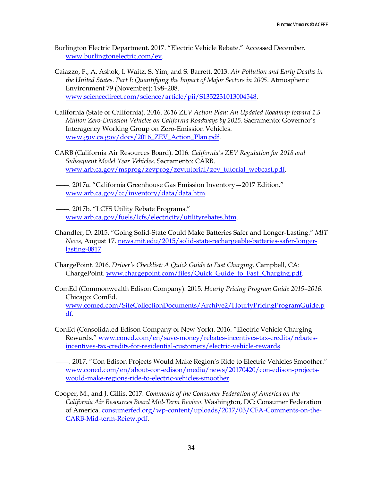Burlington Electric Department. 2017. "Electric Vehicle Rebate." Accessed December. [www.burlingtonelectric.com/ev.](https://www.burlingtonelectric.com/ev)

- Caiazzo, F., A. Ashok, I. Waitz, S. Yim, and S. Barrett. 2013. *Air Pollution and Early Deaths in the United States. Part I: Quantifying the Impact of Major Sectors in 2005*. Atmospheric Environment 79 (November): 198–208. [www.sciencedirect.com/science/article/pii/S1352231013004548.](http://www.sciencedirect.com/science/article/pii/S1352231013004548)
- California (State of California). 2016. *2016 ZEV Action Plan: An Updated Roadmap toward 1.5 Million Zero-Emission Vehicles on California Roadways by 2025*. Sacramento: Governor's Interagency Working Group on Zero-Emission Vehicles. [www.gov.ca.gov/docs/2016\\_ZEV\\_Action\\_Plan.pdf.](https://www.gov.ca.gov/docs/2016_ZEV_Action_Plan.pdf)
- CARB (California Air Resources Board). 2016. *California's ZEV Regulation for 2018 and Subsequent Model Year Vehicles.* Sacramento: CARB. [www.arb.ca.gov/msprog/zevprog/zevtutorial/zev\\_tutorial\\_webcast.pdf.](https://www.arb.ca.gov/msprog/zevprog/zevtutorial/zev_tutorial_webcast.pdf)
- ———. 2017a. "California Greenhouse Gas Emission Inventory—2017 Edition." [www.arb.ca.gov/cc/inventory/data/data.htm.](https://www.arb.ca.gov/cc/inventory/data/data.htm)
- ———. 2017b. "LCFS Utility Rebate Programs." [www.arb.ca.gov/fuels/lcfs/electricity/utilityrebates.htm.](https://www.arb.ca.gov/fuels/lcfs/electricity/utilityrebates.htm)
- Chandler, D. 2015. "Going Solid-State Could Make Batteries Safer and Longer-Lasting." *MIT News*, August 17. [news.mit.edu/2015/solid-state-rechargeable-batteries-safer-longer](http://news.mit.edu/2015/solid-state-rechargeable-batteries-safer-longer-lasting-0817)[lasting-0817.](http://news.mit.edu/2015/solid-state-rechargeable-batteries-safer-longer-lasting-0817)
- ChargePoint. 2016. *Driver's Checklist: A Quick Guide to Fast Charging*. Campbell, CA: ChargePoint. [www.chargepoint.com/files/Quick\\_Guide\\_to\\_Fast\\_Charging.pdf.](https://www.chargepoint.com/files/Quick_Guide_to_Fast_Charging.pdf)
- ComEd (Commonwealth Edison Company). 2015. *Hourly Pricing Program Guide 2015–2016*. Chicago: ComEd. [www.comed.com/SiteCollectionDocuments/Archive2/HourlyPricingProgramGuide.p](https://www.comed.com/SiteCollectionDocuments/Archive2/HourlyPricingProgramGuide.pdf) [df.](https://www.comed.com/SiteCollectionDocuments/Archive2/HourlyPricingProgramGuide.pdf)
- ConEd (Consolidated Edison Company of New York). 2016. "Electric Vehicle Charging Rewards." [www.coned.com/en/save-money/rebates-incentives-tax-credits/rebates](https://www.coned.com/en/save-money/rebates-incentives-tax-credits/rebates-incentives-tax-credits-for-residential-customers/electric-vehicle-rewards)[incentives-tax-credits-for-residential-customers/electric-vehicle-rewards.](https://www.coned.com/en/save-money/rebates-incentives-tax-credits/rebates-incentives-tax-credits-for-residential-customers/electric-vehicle-rewards)
- ———. 2017. "Con Edison Projects Would Make Region's Ride to Electric Vehicles Smoother." [www.coned.com/en/about-con-edison/media/news/20170420/con-edison-projects](https://www.coned.com/en/about-con-edison/media/news/20170420/con-edison-projects-would-make-regions-ride-to-electric-vehicles-smoother)[would-make-regions-ride-to-electric-vehicles-smoother.](https://www.coned.com/en/about-con-edison/media/news/20170420/con-edison-projects-would-make-regions-ride-to-electric-vehicles-smoother)
- Cooper, M., and J. Gillis. 2017. *Comments of the Consumer Federation of America on the California Air Resources Board Mid-Term Review*. Washington, DC: Consumer Federation of America. [consumerfed.org/wp-content/uploads/2017/03/CFA-Comments-on-the-](https://consumerfed.org/wp-content/uploads/2017/03/CFA-Comments-on-the-CARB-Mid-term-Reiew.pdf)[CARB-Mid-term-Reiew.pdf.](https://consumerfed.org/wp-content/uploads/2017/03/CFA-Comments-on-the-CARB-Mid-term-Reiew.pdf)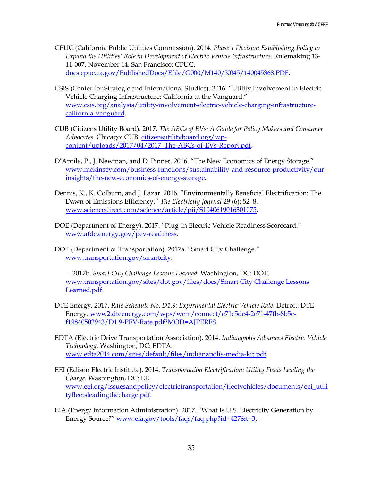- CPUC (California Public Utilities Commission). 2014. *Phase 1 Decision Establishing Policy to Expand the Utilities' Role in Development of Electric Vehicle Infrastructure*. Rulemaking 13- 11-007, November 14. San Francisco: CPUC. [docs.cpuc.ca.gov/PublishedDocs/Efile/G000/M140/K045/140045368.PDF.](http://docs.cpuc.ca.gov/PublishedDocs/Efile/G000/M140/K045/140045368.PDF)
- CSIS (Center for Strategic and International Studies). 2016. "Utility Involvement in Electric Vehicle Charging Infrastructure: California at the Vanguard." [www.csis.org/analysis/utility-involvement-electric-vehicle-charging-infrastructure](https://www.csis.org/analysis/utility-involvement-electric-vehicle-charging-infrastructure-california-vanguard)[california-vanguard.](https://www.csis.org/analysis/utility-involvement-electric-vehicle-charging-infrastructure-california-vanguard)
- CUB (Citizens Utility Board). 2017. *The ABCs of EVs: A Guide for Policy Makers and Consumer Advocates*. Chicago: CUB. [citizensutilityboard.org/wp](https://citizensutilityboard.org/wp-content/uploads/2017/04/2017_The-ABCs-of-EVs-Report.pdf)[content/uploads/2017/04/2017\\_The-ABCs-of-EVs-Report.pdf.](https://citizensutilityboard.org/wp-content/uploads/2017/04/2017_The-ABCs-of-EVs-Report.pdf)
- D'Aprile, P., J. Newman, and D. Pinner. 2016. "The New Economics of Energy Storage." [www.mckinsey.com/business-functions/sustainability-and-resource-productivity/our](http://www.mckinsey.com/business-functions/sustainability-and-resource-productivity/our-insights/the-new-economics-of-energy-storage)[insights/the-new-economics-of-energy-storage.](http://www.mckinsey.com/business-functions/sustainability-and-resource-productivity/our-insights/the-new-economics-of-energy-storage)
- Dennis, K., K. Colburn, and J. Lazar. 2016. "Environmentally Beneficial Electrification: The Dawn of Emissions Efficiency." *The Electricity Journal* 29 (6): 52–8. [www.sciencedirect.com/science/article/pii/S1040619016301075.](https://www.sciencedirect.com/science/article/pii/S1040619016301075)
- DOE (Department of Energy). 2017. "Plug-In Electric Vehicle Readiness Scorecard." [www.afdc.energy.gov/pev-readiness.](https://www.afdc.energy.gov/pev-readiness)
- DOT (Department of Transportation). 2017a. "Smart City Challenge." [www.transportation.gov/smartcity.](https://www.transportation.gov/smartcity)
- ———. 2017b. *Smart City Challenge Lessons Learned.* Washington, DC: DOT. [www.transportation.gov/sites/dot.gov/files/docs/Smart City Challenge Lessons](https://www.transportation.gov/sites/dot.gov/files/docs/Smart%20City%20Challenge%20Lessons%20Learned.pdf)  [Learned.pdf.](https://www.transportation.gov/sites/dot.gov/files/docs/Smart%20City%20Challenge%20Lessons%20Learned.pdf)
- DTE Energy. 2017. *Rate Schedule No. D1.9: Experimental Electric Vehicle Rate*. Detroit: DTE Energy. [www2.dteenergy.com/wps/wcm/connect/e71c5dc4-2c71-47fb-8b5c](https://www2.dteenergy.com/wps/wcm/connect/e71c5dc4-2c71-47fb-8b5c-f19840502943/D1.9-PEV-Rate.pdf?MOD=AJPERES)[f19840502943/D1.9-PEV-Rate.pdf?MOD=AJPERES.](https://www2.dteenergy.com/wps/wcm/connect/e71c5dc4-2c71-47fb-8b5c-f19840502943/D1.9-PEV-Rate.pdf?MOD=AJPERES)
- EDTA (Electric Drive Transportation Association). 2014. *Indianapolis Advances Electric Vehicle Technology*. Washington, DC: EDTA. [www.edta2014.com/sites/default/files/indianapolis-media-kit.pdf.](http://www.edta2014.com/sites/default/files/indianapolis-media-kit.pdf)
- EEI (Edison Electric Institute). 2014. *Transportation Electrification: Utility Fleets Leading the Charge.* Washington, DC: EEI. [www.eei.org/issuesandpolicy/electrictransportation/fleetvehicles/documents/eei\\_utili](http://www.eei.org/issuesandpolicy/electrictransportation/fleetvehicles/documents/eei_utilityfleetsleadingthecharge.pdf) [tyfleetsleadingthecharge.pdf.](http://www.eei.org/issuesandpolicy/electrictransportation/fleetvehicles/documents/eei_utilityfleetsleadingthecharge.pdf)
- EIA (Energy Information Administration). 2017. "What Is U.S. Electricity Generation by Energy Source?" [www.eia.gov/tools/faqs/faq.php?id=427&t=3.](https://www.eia.gov/tools/faqs/faq.php?id=427&t=3)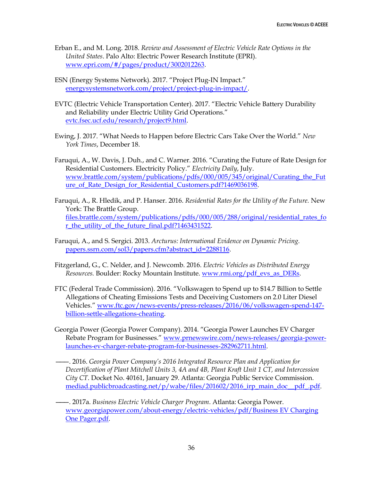- Erban E., and M. Long. 2018. *Review and Assessment of Electric Vehicle Rate Options in the United States*. Palo Alto: Electric Power Research Institute (EPRI). [www.epri.com/#/pages/product/3002012263.](http://www.epri.com/#/pages/product/3002012263/)
- ESN (Energy Systems Network). 2017. "Project Plug-IN Impact." [energysystemsnetwork.com/project/project-plug-in-impact/.](http://energysystemsnetwork.com/project/project-plug-in-impact/)
- EVTC (Electric Vehicle Transportation Center). 2017. "Electric Vehicle Battery Durability and Reliability under Electric Utility Grid Operations." [evtc.fsec.ucf.edu/research/project9.html.](http://evtc.fsec.ucf.edu/research/project9.html)
- Ewing, J. 2017. "What Needs to Happen before Electric Cars Take Over the World." *New York Times*, December 18.
- Faruqui, A., W. Davis, J. Duh., and C. Warner. 2016. "Curating the Future of Rate Design for Residential Customers. Electricity Policy." *Electricity Daily*, July. [www.brattle.com/system/publications/pdfs/000/005/345/original/Curating\\_the\\_Fut](http://www.brattle.com/system/publications/pdfs/000/005/345/original/Curating_the_Future_of_Rate_Design_for_Residential_Customers.pdf?1469036198) ure of Rate Design for Residential Customers.pdf?1469036198.
- Faruqui, A., R. Hledik, and P. Hanser. 2016. *Residential Rates for the Utility of the Future.* New York: The Brattle Group. [files.brattle.com/system/publications/pdfs/000/005/288/original/residential\\_rates\\_fo](http://files.brattle.com/system/publications/pdfs/000/005/288/original/residential_rates_for_the_utility_of_the_future_final.pdf?1463431522) [r\\_the\\_utility\\_of\\_the\\_future\\_final.pdf?1463431522.](http://files.brattle.com/system/publications/pdfs/000/005/288/original/residential_rates_for_the_utility_of_the_future_final.pdf?1463431522)
- Faruqui, A., and S. Sergici. 2013. *Arcturus: International Evidence on Dynamic Pricing.*  [papers.ssrn.com/sol3/papers.cfm?abstract\\_id=2288116.](https://papers.ssrn.com/sol3/papers.cfm?abstract_id=2288116)
- Fitzgerland, G., C. Nelder, and J. Newcomb. 2016. *Electric Vehicles as Distributed Energy Resources.* Boulder: Rocky Mountain Institute. [www.rmi.org/pdf\\_evs\\_as\\_DERs.](http://www.rmi.org/pdf_evs_as_DERs)
- FTC (Federal Trade Commission). 2016. "Volkswagen to Spend up to \$14.7 Billion to Settle Allegations of Cheating Emissions Tests and Deceiving Customers on 2.0 Liter Diesel Vehicles." [www.ftc.gov/news-events/press-releases/2016/06/volkswagen-spend-147](https://www.ftc.gov/news-events/press-releases/2016/06/volkswagen-spend-147-billion-settle-allegations-cheating) [billion-settle-allegations-cheating.](https://www.ftc.gov/news-events/press-releases/2016/06/volkswagen-spend-147-billion-settle-allegations-cheating)
- Georgia Power (Georgia Power Company). 2014. "Georgia Power Launches EV Charger Rebate Program for Businesses." [www.prnewswire.com/news-releases/georgia-power](https://www.prnewswire.com/news-releases/georgia-power-launches-ev-charger-rebate-program-for-businesses-282962711.html)[launches-ev-charger-rebate-program-for-businesses-282962711.html.](https://www.prnewswire.com/news-releases/georgia-power-launches-ev-charger-rebate-program-for-businesses-282962711.html)
- ———. 2016. *Georgia Power Company's 2016 Integrated Resource Plan and Application for Decertification of Plant Mitchell Units 3, 4A and 4B, Plant Kraft Unit 1 CT, and Intercession City CT*. Docket No. 40161, January 29. Atlanta: Georgia Public Service Commission. [mediad.publicbroadcasting.net/p/wabe/files/201602/2016\\_irp\\_main\\_doc\\_\\_pdf\\_.pdf.](http://mediad.publicbroadcasting.net/p/wabe/files/201602/2016_irp_main_doc__pdf_.pdf)
- ———. 2017a. *Business Electric Vehicle Charger Program*. Atlanta: Georgia Power. [www.georgiapower.com/about-energy/electric-vehicles/pdf/Business EV Charging](https://www.georgiapower.com/about-energy/electric-vehicles/pdf/Business%20EV%20Charging%20One%20Pager.pdf)  [One Pager.pdf.](https://www.georgiapower.com/about-energy/electric-vehicles/pdf/Business%20EV%20Charging%20One%20Pager.pdf)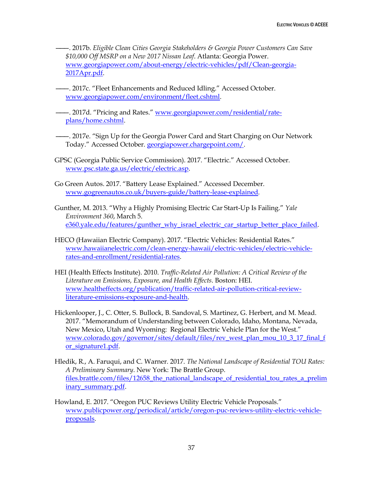———. 2017b. *Eligible Clean Cities Georgia Stakeholders & Georgia Power Customers Can Save \$10,000 Off MSRP on a New 2017 Nissan Leaf*. Atlanta: Georgia Power. [www.georgiapower.com/about-energy/electric-vehicles/pdf/Clean-georgia-](https://www.georgiapower.com/about-energy/electric-vehicles/pdf/Clean-georgia-2017Apr.pdf)[2017Apr.pdf.](https://www.georgiapower.com/about-energy/electric-vehicles/pdf/Clean-georgia-2017Apr.pdf)

- 2017c. "Fleet Enhancements and Reduced Idling." Accessed October. [www.georgiapower.com/environment/fleet.cshtml.](https://www.georgiapower.com/environment/fleet.cshtml)
- ———. 2017d. "Pricing and Rates." [www.georgiapower.com/residential/rate](https://www.georgiapower.com/residential/rate-plans/home.cshtml)[plans/home.cshtml.](https://www.georgiapower.com/residential/rate-plans/home.cshtml)
- ———. 2017e. "Sign Up for the Georgia Power Card and Start Charging on Our Network Today." Accessed October. [georgiapower.chargepoint.com/.](http://georgiapower.chargepoint.com/)
- GPSC (Georgia Public Service Commission). 2017. "Electric." Accessed October. [www.psc.state.ga.us/electric/electric.asp.](http://www.psc.state.ga.us/electric/electric.asp)
- Go Green Autos. 2017. "Battery Lease Explained." Accessed December. [www.gogreenautos.co.uk/buyers-guide/battery-lease-explained.](https://www.gogreenautos.co.uk/buyers-guide/battery-lease-explained)
- Gunther, M. 2013. "Why a Highly Promising Electric Car Start-Up Is Failing." *Yale Environment 360*, March 5. [e360.yale.edu/features/gunther\\_why\\_israel\\_electric\\_car\\_startup\\_better\\_place\\_failed.](https://e360.yale.edu/features/gunther_why_israel_electric_car_startup_better_place_failed)
- HECO (Hawaiian Electric Company). 2017. "Electric Vehicles: Residential Rates." [www.hawaiianelectric.com/clean-energy-hawaii/electric-vehicles/electric-vehicle](https://www.hawaiianelectric.com/clean-energy-hawaii/electric-vehicles/electric-vehicle-rates-and-enrollment/residential-rates)[rates-and-enrollment/residential-rates.](https://www.hawaiianelectric.com/clean-energy-hawaii/electric-vehicles/electric-vehicle-rates-and-enrollment/residential-rates)
- HEI (Health Effects Institute). 2010. *Traffic-Related Air Pollution: A Critical Review of the Literature on Emissions, Exposure, and Health Effects*. Boston: HEI. [www.healtheffects.org/publication/traffic-related-air-pollution-critical-review](https://www.healtheffects.org/publication/traffic-related-air-pollution-critical-review-literature-emissions-exposure-and-health)[literature-emissions-exposure-and-health.](https://www.healtheffects.org/publication/traffic-related-air-pollution-critical-review-literature-emissions-exposure-and-health)
- Hickenlooper, J., C. Otter, S. Bullock, B. Sandoval, S. Martinez, G. Herbert, and M. Mead. 2017. "Memorandum of Understanding between Colorado, Idaho, Montana, Nevada, New Mexico, Utah and Wyoming: Regional Electric Vehicle Plan for the West." [www.colorado.gov/governor/sites/default/files/rev\\_west\\_plan\\_mou\\_10\\_3\\_17\\_final\\_f](https://www.colorado.gov/governor/sites/default/files/rev_west_plan_mou_10_3_17_final_for_signature1.pdf) [or\\_signature1.pdf.](https://www.colorado.gov/governor/sites/default/files/rev_west_plan_mou_10_3_17_final_for_signature1.pdf)
- Hledik, R., A. Faruqui, and C. Warner. 2017. *The National Landscape of Residential TOU Rates: A Preliminary Summary*. New York: The Brattle Group. [files.brattle.com/files/12658\\_the\\_national\\_landscape\\_of\\_residential\\_tou\\_rates\\_a\\_prelim](http://files.brattle.com/files/12658_the_national_landscape_of_residential_tou_rates_a_preliminary_summary.pdf) [inary\\_summary.pdf.](http://files.brattle.com/files/12658_the_national_landscape_of_residential_tou_rates_a_preliminary_summary.pdf)
- Howland, E. 2017. "Oregon PUC Reviews Utility Electric Vehicle Proposals." [www.publicpower.org/periodical/article/oregon-puc-reviews-utility-electric-vehicle](https://www.publicpower.org/periodical/article/oregon-puc-reviews-utility-electric-vehicle-proposals)[proposals.](https://www.publicpower.org/periodical/article/oregon-puc-reviews-utility-electric-vehicle-proposals)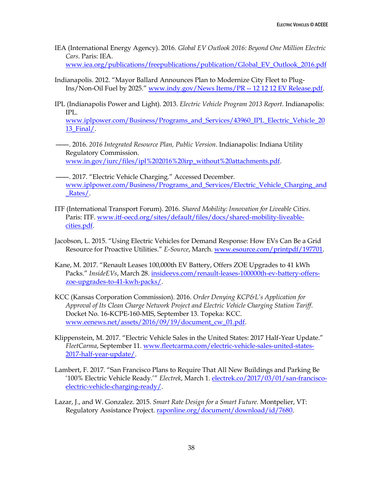IEA (International Energy Agency). 2016. *Global EV Outlook 2016: Beyond One Million Electric Cars*. Paris: IEA.

[www.iea.org/publications/freepublications/publication/Global\\_EV\\_Outlook\\_2016.pdf](https://www.iea.org/publications/freepublications/publication/Global_EV_Outlook_2016.pdf)

- Indianapolis. 2012. "Mayor Ballard Announces Plan to Modernize City Fleet to Plug-Ins/Non-Oil Fuel by 2025." [www.indy.gov/News Items/PR --](http://www.indy.gov/News%20Items/PR%20--%2012%2012%2012%20EV%20Release.pdf) 12 12 12 EV Release.pdf.
- IPL (Indianapolis Power and Light). 2013. *Electric Vehicle Program 2013 Report*. Indianapolis: IPL.

[www.iplpower.com/Business/Programs\\_and\\_Services/43960\\_IPL\\_Electric\\_Vehicle\\_20](https://www.iplpower.com/Business/Programs_and_Services/43960_IPL_Electric_Vehicle_2013_Final/) [13\\_Final/.](https://www.iplpower.com/Business/Programs_and_Services/43960_IPL_Electric_Vehicle_2013_Final/)

- ———. 2016. *2016 Integrated Resource Plan, Public Version*. Indianapolis: Indiana Utility Regulatory Commission. [www.in.gov/iurc/files/ipl%202016%20irp\\_without%20attachments.pdf.](https://www.in.gov/iurc/files/ipl%202016%20irp_without%20attachments.pdf)
- ———. 2017. "Electric Vehicle Charging." Accessed December. [www.iplpower.com/Business/Programs\\_and\\_Services/Electric\\_Vehicle\\_Charging\\_and](http://www.iplpower.com/Business/Programs_and_Services/Electric_Vehicle_Charging_and_Rates/) [\\_Rates/.](http://www.iplpower.com/Business/Programs_and_Services/Electric_Vehicle_Charging_and_Rates/)
- ITF (International Transport Forum). 2016. *Shared Mobility: Innovation for Liveable Cities*. Paris: ITF. [www.itf-oecd.org/sites/default/files/docs/shared-mobility-liveable](https://www.itf-oecd.org/sites/default/files/docs/shared-mobility-liveable-cities.pdf)[cities.pdf.](https://www.itf-oecd.org/sites/default/files/docs/shared-mobility-liveable-cities.pdf)
- Jacobson, L. 2015. "Using Electric Vehicles for Demand Response: How EVs Can Be a Grid Resource for Proactive Utilities." *E-Source*, March. [www.esource.com/printpdf/197701.](http://www.esource.com/printpdf/197701)
- Kane, M. 2017. "Renault Leases 100,000th EV Battery, Offers ZOE Upgrades to 41 kWh Packs." *InsideEVs*, March 28. [insideevs.com/renault-leases-100000th-ev-battery-offers](https://insideevs.com/renault-leases-100000th-ev-battery-offers-zoe-upgrades-to-41-kwh-packs/)[zoe-upgrades-to-41-kwh-packs/.](https://insideevs.com/renault-leases-100000th-ev-battery-offers-zoe-upgrades-to-41-kwh-packs/)
- KCC (Kansas Corporation Commission). 2016. *Order Denying KCP&L's Application for Approval of Its Clean Charge Network Project and Electric Vehicle Charging Station Tariff*. Docket No. 16-KCPE-160-MIS, September 13. Topeka: KCC. [www.eenews.net/assets/2016/09/19/document\\_cw\\_01.pdf.](https://www.eenews.net/assets/2016/09/19/document_cw_01.pdf)
- Klippenstein, M. 2017. "Electric Vehicle Sales in the United States: 2017 Half-Year Update." *FleetCarma*, September 11. [www.fleetcarma.com/electric-vehicle-sales-united-states-](https://www.fleetcarma.com/electric-vehicle-sales-united-states-2017-half-year-update/)[2017-half-year-update/.](https://www.fleetcarma.com/electric-vehicle-sales-united-states-2017-half-year-update/)
- Lambert, F. 2017. "San Francisco Plans to Require That All New Buildings and Parking Be '100% Electric Vehicle Ready.'" *Electrek*, March 1[. electrek.co/2017/03/01/san-francisco](https://electrek.co/2017/03/01/san-francisco-electric-vehicle-charging-ready/)[electric-vehicle-charging-ready/.](https://electrek.co/2017/03/01/san-francisco-electric-vehicle-charging-ready/)
- Lazar, J., and W. Gonzalez. 2015. *Smart Rate Design for a Smart Future.* Montpelier, VT: Regulatory Assistance Project. [raponline.org/document/download/id/7680.](http://raponline.org/document/download/id/7680)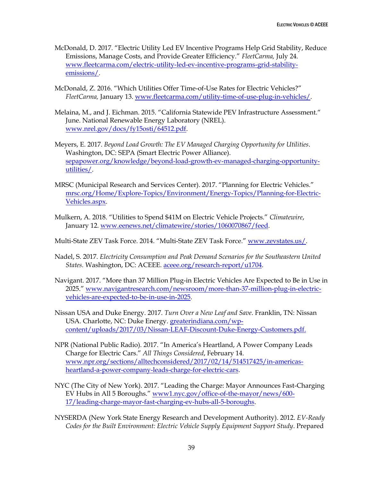- McDonald, D. 2017. "Electric Utility Led EV Incentive Programs Help Grid Stability, Reduce Emissions, Manage Costs, and Provide Greater Efficiency." *FleetCarma,* July 24. [www.fleetcarma.com/electric-utility-led-ev-incentive-programs-grid-stability](https://www.fleetcarma.com/electric-utility-led-ev-incentive-programs-grid-stability-emissions/)[emissions/.](https://www.fleetcarma.com/electric-utility-led-ev-incentive-programs-grid-stability-emissions/)
- McDonald, Z. 2016. "Which Utilities Offer Time-of-Use Rates for Electric Vehicles?" *FleetCarma,* January 13. [www.fleetcarma.com/utility-time-of-use-plug-in-vehicles/.](https://www.fleetcarma.com/utility-time-of-use-plug-in-vehicles/)
- Melaina, M., and J. Eichman. 2015. "California Statewide PEV Infrastructure Assessment." June. National Renewable Energy Laboratory (NREL). [www.nrel.gov/docs/fy15osti/64512.pdf.](http://www.nrel.gov/docs/fy15osti/64512.pdf)
- Meyers, E. 2017. *Beyond Load Growth: The EV Managed Charging Opportunity for Utilities*. Washington, DC: SEPA (Smart Electric Power Alliance). [sepapower.org/knowledge/beyond-load-growth-ev-managed-charging-opportunity](https://sepapower.org/knowledge/beyond-load-growth-ev-managed-charging-opportunity-utilities/)[utilities/.](https://sepapower.org/knowledge/beyond-load-growth-ev-managed-charging-opportunity-utilities/)
- MRSC (Municipal Research and Services Center). 2017. "Planning for Electric Vehicles." [mrsc.org/Home/Explore-Topics/Environment/Energy-Topics/Planning-for-Electric-](http://mrsc.org/Home/Explore-Topics/Environment/Energy-Topics/Planning-for-Electric-Vehicles.aspx)[Vehicles.aspx.](http://mrsc.org/Home/Explore-Topics/Environment/Energy-Topics/Planning-for-Electric-Vehicles.aspx)
- Mulkern, A. 2018. "Utilities to Spend \$41M on Electric Vehicle Projects." *Climatewire*, January 12. [www.eenews.net/climatewire/stories/1060070867/feed.](file:///C:/Users/Fred/Dropbox/ACEEE/Siddiq/www.eenews.net/climatewire/stories/1060070867/feed)
- Multi-State ZEV Task Force. 2014. "Multi-State ZEV Task Force." [www.zevstates.us/.](https://www.zevstates.us/)
- Nadel, S. 2017. *Electricity Consumption and Peak Demand Scenarios for the Southeastern United States.* Washington, DC: ACEEE. [aceee.org/research-report/u1704.](https://aceee.org/research-report/u1704)
- Navigant. 2017. "More than 37 Million Plug-in Electric Vehicles Are Expected to Be in Use in 2025." [www.navigantresearch.com/newsroom/more-than-37-million-plug-in-electric](https://www.navigantresearch.com/newsroom/more-than-37-million-plug-in-electric-vehicles-are-expected-to-be-in-use-in-2025)[vehicles-are-expected-to-be-in-use-in-2025.](https://www.navigantresearch.com/newsroom/more-than-37-million-plug-in-electric-vehicles-are-expected-to-be-in-use-in-2025)
- Nissan USA and Duke Energy. 2017. *Turn Over a New Leaf and Save*. Franklin, TN: Nissan USA. Charlotte, NC: Duke Energy. [greaterindiana.com/wp](http://greaterindiana.com/wp-content/uploads/2017/03/Nissan-LEAF-Discount-Duke-Energy-Customers.pdf)[content/uploads/2017/03/Nissan-LEAF-Discount-Duke-Energy-Customers.pdf.](http://greaterindiana.com/wp-content/uploads/2017/03/Nissan-LEAF-Discount-Duke-Energy-Customers.pdf)
- NPR (National Public Radio). 2017. "In America's Heartland, A Power Company Leads Charge for Electric Cars." *All Things Considered*, February 14. [www.npr.org/sections/alltechconsidered/2017/02/14/514517425/in-americas](http://www.npr.org/sections/alltechconsidered/2017/02/14/514517425/in-americas-heartland-a-power-company-leads-charge-for-electric-cars)[heartland-a-power-company-leads-charge-for-electric-cars.](http://www.npr.org/sections/alltechconsidered/2017/02/14/514517425/in-americas-heartland-a-power-company-leads-charge-for-electric-cars)
- NYC (The City of New York). 2017. "Leading the Charge: Mayor Announces Fast-Charging EV Hubs in All 5 Boroughs." [www1.nyc.gov/office-of-the-mayor/news/600-](http://www1.nyc.gov/office-of-the-mayor/news/600-17/leading-charge-mayor-fast-charging-ev-hubs-all-5-boroughs) [17/leading-charge-mayor-fast-charging-ev-hubs-all-5-boroughs.](http://www1.nyc.gov/office-of-the-mayor/news/600-17/leading-charge-mayor-fast-charging-ev-hubs-all-5-boroughs)
- NYSERDA (New York State Energy Research and Development Authority). 2012. *EV-Ready Codes for the Built Environment: Electric Vehicle Supply Equipment Support Study*. Prepared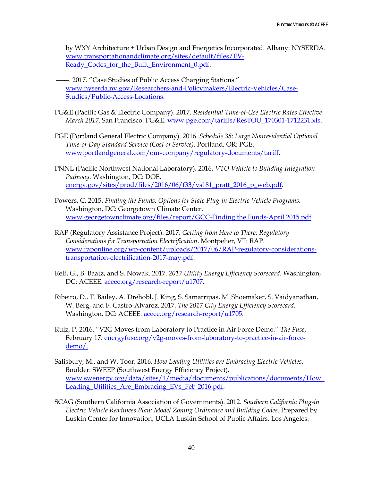by WXY Architecture + Urban Design and Energetics Incorporated. Albany: NYSERDA. [www.transportationandclimate.org/sites/default/files/EV-](http://www.transportationandclimate.org/sites/default/files/EV-Ready_Codes_for_the_Built_Environment_0.pdf)[Ready\\_Codes\\_for\\_the\\_Built\\_Environment\\_0.pdf.](http://www.transportationandclimate.org/sites/default/files/EV-Ready_Codes_for_the_Built_Environment_0.pdf)

- ———. 2017. "Case Studies of Public Access Charging Stations." [www.nyserda.ny.gov/Researchers-and-Policymakers/Electric-Vehicles/Case-](https://www.nyserda.ny.gov/Researchers-and-Policymakers/Electric-Vehicles/Case-Studies/Public-Access-Locations)[Studies/Public-Access-Locations.](https://www.nyserda.ny.gov/Researchers-and-Policymakers/Electric-Vehicles/Case-Studies/Public-Access-Locations)
- PG&E (Pacific Gas & Electric Company). 2017. *Residential Time-of-Use Electric Rates Effective March 2017*. San Francisco: PG&E. [www.pge.com/tariffs/ResTOU\\_170301-1712231.xls.](https://www.pge.com/tariffs/ResTOU_170301-1712231.xls)
- PGE (Portland General Electric Company). 2016. *Schedule 38: Large Nonresidential Optional Time-of-Day Standard Service (Cost of Service).* Portland, OR: PGE. [www.portlandgeneral.com/our-company/regulatory-documents/tariff.](https://www.portlandgeneral.com/our-company/regulatory-documents/tariff)
- PNNL (Pacific Northwest National Laboratory). 2016. *VTO Vehicle to Building Integration Pathway*. Washington, DC: DOE. [energy.gov/sites/prod/files/2016/06/f33/vs181\\_pratt\\_2016\\_p\\_web.pdf.](https://energy.gov/sites/prod/files/2016/06/f33/vs181_pratt_2016_p_web.pdf)
- Powers, C. 2015. *Finding the Funds: Options for State Plug-in Electric Vehicle Programs*. Washington, DC: Georgetown Climate Center. [www.georgetownclimate.org/files/report/GCC-Finding the Funds-April 2015.pdf.](http://www.georgetownclimate.org/files/report/GCC-Finding%20the%20Funds-April%202015.pdf)
- RAP (Regulatory Assistance Project). 2017. *Getting from Here to There: Regulatory Considerations for Transportation Electrification*. Montpelier, VT: RAP. [www.raponline.org/wp-content/uploads/2017/06/RAP-regulatory-considerations](http://www.raponline.org/wp-content/uploads/2017/06/RAP-regulatory-considerations-transportation-electrification-2017-may.pdf)[transportation-electrification-2017-may.pdf.](http://www.raponline.org/wp-content/uploads/2017/06/RAP-regulatory-considerations-transportation-electrification-2017-may.pdf)
- Relf, G., B. Baatz, and S. Nowak. 2017. *2017 Utility Energy Efficiency Scorecard*. Washington, DC: ACEEE. [aceee.org/research-report/u1707.](http://aceee.org/research-report/u1707)
- Ribeiro, D., T. Bailey, A. Drehobl, J. King, S. Samarripas, M. Shoemaker, S. Vaidyanathan, W. Berg, and F. Castro-Alvarez. 2017. *The 2017 City Energy Efficiency Scorecard.*  Washington, DC: ACEEE. [aceee.org/research-report/u1705.](https://aceee.org/research-report/u1705)
- Ruiz, P. 2016. "V2G Moves from Laboratory to Practice in Air Force Demo." *The Fuse*, February 17. [energyfuse.org/v2g-moves-from-laboratory-to-practice-in-air-force](http://energyfuse.org/v2g-moves-from-laboratory-to-practice-in-air-force-demo/)[demo/.](http://energyfuse.org/v2g-moves-from-laboratory-to-practice-in-air-force-demo/)
- Salisbury, M., and W. Toor. 2016. *How Leading Utilities are Embracing Electric Vehicles*. Boulder: SWEEP (Southwest Energy Efficiency Project). [www.swenergy.org/data/sites/1/media/documents/publications/documents/How\\_](http://www.swenergy.org/data/sites/1/media/documents/publications/documents/How_Leading_Utilities_Are_Embracing_EVs_Feb-2016.pdf) [Leading\\_Utilities\\_Are\\_Embracing\\_EVs\\_Feb-2016.pdf.](http://www.swenergy.org/data/sites/1/media/documents/publications/documents/How_Leading_Utilities_Are_Embracing_EVs_Feb-2016.pdf)
- SCAG (Southern California Association of Governments). 2012. *Southern California Plug-in Electric Vehicle Readiness Plan: Model Zoning Ordinance and Building Codes*. Prepared by Luskin Center for Innovation, UCLA Luskin School of Public Affairs. Los Angeles: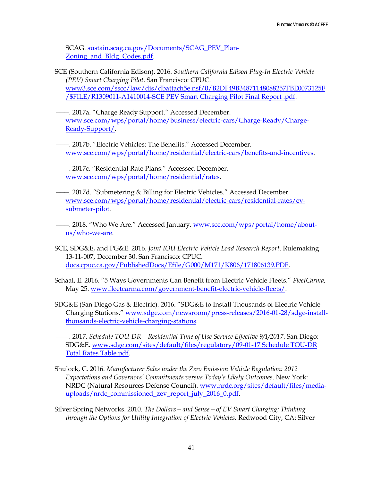SCAG. [sustain.scag.ca.gov/Documents/SCAG\\_PEV\\_Plan-](http://sustain.scag.ca.gov/Documents/SCAG_PEV_Plan-Zoning_and_Bldg_Codes.pdf)Zoning and Bldg Codes.pdf.

- SCE (Southern California Edison). 2016. *Southern California Edison Plug-In Electric Vehicle (PEV) Smart Charging Pilot*. San Francisco: CPUC. [www3.sce.com/sscc/law/dis/dbattach5e.nsf/0/B2DF49B34871148088257FBE0073125F](http://www3.sce.com/sscc/law/dis/dbattach5e.nsf/0/B2DF49B34871148088257FBE0073125F/$FILE/R1309011-A1410014-SCE%20PEV%20Smart%20Charging%20Pilot%20Final%20Report%20.pdf) [/\\$FILE/R1309011-A1410014-SCE PEV Smart Charging Pilot Final Report .pdf.](http://www3.sce.com/sscc/law/dis/dbattach5e.nsf/0/B2DF49B34871148088257FBE0073125F/$FILE/R1309011-A1410014-SCE%20PEV%20Smart%20Charging%20Pilot%20Final%20Report%20.pdf)
- ———. 2017a. "Charge Ready Support." Accessed December. [www.sce.com/wps/portal/home/business/electric-cars/Charge-Ready/Charge-](https://www.sce.com/wps/portal/home/business/electric-cars/Charge-Ready/Charge-Ready-Support/)[Ready-Support/.](https://www.sce.com/wps/portal/home/business/electric-cars/Charge-Ready/Charge-Ready-Support/)
- ———. 2017b. "Electric Vehicles: The Benefits." Accessed December. [www.sce.com/wps/portal/home/residential/electric-cars/benefits-and-incentives.](https://www.sce.com/wps/portal/home/residential/electric-cars/benefits-and-incentives/!ut/p/b1/04_Sj9CPykssy0xPLMnMz0vMAfGjzOINLdwdPTyDDTwtQtxdDTydvA0swwKMjN08DYAKIoEKDHAARwNC-sP1o_ApMTE3R1fgHmRuZODpFebq4-9kaGRgYQRVYOlu4Orh5Q9UEBJobOBpHGjgF-zoaGxg)
- ———. 2017c. "Residential Rate Plans." Accessed December. [www.sce.com/wps/portal/home/residential/rates.](https://www.sce.com/wps/portal/home/residential/rates)
- ———. 2017d. "Submetering & Billing for Electric Vehicles." Accessed December. [www.sce.com/wps/portal/home/residential/electric-cars/residential-rates/ev](https://www.sce.com/wps/portal/home/residential/electric-cars/residential-rates/ev-submeter-pilot)[submeter-pilot.](https://www.sce.com/wps/portal/home/residential/electric-cars/residential-rates/ev-submeter-pilot)
- 2018. "Who We Are." Accessed January. [www.sce.com/wps/portal/home/about](http://www.sce.com/wps/portal/home/about-us/who-we-are)[us/who-we-are.](http://www.sce.com/wps/portal/home/about-us/who-we-are)
- SCE, SDG&E, and PG&E. 2016. *Joint IOU Electric Vehicle Load Research Report*. Rulemaking 13-11-007, December 30. San Francisco: CPUC. [docs.cpuc.ca.gov/PublishedDocs/Efile/G000/M171/K806/171806139.PDF.](http://docs.cpuc.ca.gov/PublishedDocs/Efile/G000/M171/K806/171806139.PDF)
- Schaal, E. 2016. "5 Ways Governments Can Benefit from Electric Vehicle Fleets." *FleetCarma,*  May 25. [www.fleetcarma.com/government-benefit-electric-vehicle-fleets/.](https://www.fleetcarma.com/government-benefit-electric-vehicle-fleets/)
- SDG&E (San Diego Gas & Electric). 2016. "SDG&E to Install Thousands of Electric Vehicle Charging Stations." [www.sdge.com/newsroom/press-releases/2016-01-28/sdge-install](https://www.sdge.com/newsroom/press-releases/2016-01-28/sdge-install-thousands-electric-vehicle-charging-stations)[thousands-electric-vehicle-charging-stations.](https://www.sdge.com/newsroom/press-releases/2016-01-28/sdge-install-thousands-electric-vehicle-charging-stations)
- ———. 2017. *Schedule TOU-DR—Residential Time of Use Service Effective 9/1/2017*. San Diego: SDG&E. [www.sdge.com/sites/default/files/regulatory/09-01-17 Schedule TOU-DR](https://www.sdge.com/sites/default/files/regulatory/09-01-17%20Schedule%20TOU-DR%20Total%20Rates%20Table.pdf)  [Total Rates Table.pdf.](https://www.sdge.com/sites/default/files/regulatory/09-01-17%20Schedule%20TOU-DR%20Total%20Rates%20Table.pdf)
- Shulock, C. 2016. *Manufacturer Sales under the Zero Emission Vehicle Regulation: 2012 Expectations and Governors' Commitments versus Today's Likely Outcomes*. New York: NRDC (Natural Resources Defense Council). [www.nrdc.org/sites/default/files/media](https://www.nrdc.org/sites/default/files/media-uploads/nrdc_commissioned_zev_report_july_2016_0.pdf)[uploads/nrdc\\_commissioned\\_zev\\_report\\_july\\_2016\\_0.pdf.](https://www.nrdc.org/sites/default/files/media-uploads/nrdc_commissioned_zev_report_july_2016_0.pdf)
- Silver Spring Networks. 2010. *The Dollars—and Sense—of EV Smart Charging: Thinking through the Options for Utility Integration of Electric Vehicles.* Redwood City, CA: Silver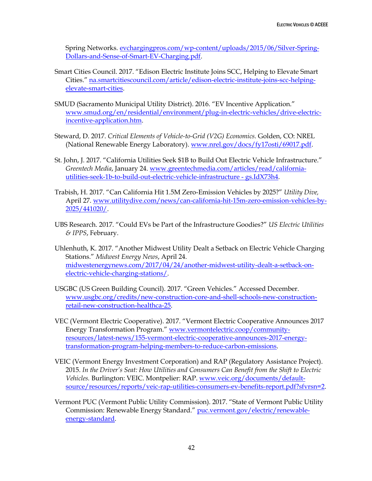Spring Networks. [evchargingpros.com/wp-content/uploads/2015/06/Silver-Spring-](http://evchargingpros.com/wp-content/uploads/2015/06/Silver-Spring-Dollars-and-Sense-of-Smart-EV-Charging.pdf)[Dollars-and-Sense-of-Smart-EV-Charging.pdf.](http://evchargingpros.com/wp-content/uploads/2015/06/Silver-Spring-Dollars-and-Sense-of-Smart-EV-Charging.pdf)

- Smart Cities Council. 2017. "Edison Electric Institute Joins SCC, Helping to Elevate Smart Cities." [na.smartcitiescouncil.com/article/edison-electric-institute-joins-scc-helping](https://na.smartcitiescouncil.com/article/edison-electric-institute-joins-scc-helping-elevate-smart-cities)[elevate-smart-cities.](https://na.smartcitiescouncil.com/article/edison-electric-institute-joins-scc-helping-elevate-smart-cities)
- SMUD (Sacramento Municipal Utility District). 2016. "EV Incentive Application." [www.smud.org/en/residential/environment/plug-in-electric-vehicles/drive-electric](https://www.smud.org/en/residential/environment/plug-in-electric-vehicles/drive-electric-incentive-application.htm)[incentive-application.htm.](https://www.smud.org/en/residential/environment/plug-in-electric-vehicles/drive-electric-incentive-application.htm)
- Steward, D. 2017. *Critical Elements of Vehicle-to-Grid (V2G) Economics.* Golden, CO: NREL (National Renewable Energy Laboratory). [www.nrel.gov/docs/fy17osti/69017.pdf.](https://www.nrel.gov/docs/fy17osti/69017.pdf)
- St. John, J. 2017. "California Utilities Seek \$1B to Build Out Electric Vehicle Infrastructure." *Greentech Media*, January 24. [www.greentechmedia.com/articles/read/california](https://www.greentechmedia.com/articles/read/california-utilities-seek-1b-to-build-out-electric-vehicle-infrastructure#gs.IdX73h4)[utilities-seek-1b-to-build-out-electric-vehicle-infrastructure -](https://www.greentechmedia.com/articles/read/california-utilities-seek-1b-to-build-out-electric-vehicle-infrastructure#gs.IdX73h4) gs.IdX73h4.
- Trabish, H. 2017. "Can California Hit 1.5M Zero-Emission Vehicles by 2025?" *Utility Dive,*  April 27. [www.utilitydive.com/news/can-california-hit-15m-zero-emission-vehicles-by-](https://www.utilitydive.com/news/can-california-hit-15m-zero-emission-vehicles-by-2025/441020/)[2025/441020/.](https://www.utilitydive.com/news/can-california-hit-15m-zero-emission-vehicles-by-2025/441020/)
- UBS Research. 2017. "Could EVs be Part of the Infrastructure Goodies?" *US Electric Utilities & IPPS*, February.
- Uhlenhuth, K. 2017. "Another Midwest Utility Dealt a Setback on Electric Vehicle Charging Stations." *Midwest Energy News*, April 24. [midwestenergynews.com/2017/04/24/another-midwest-utility-dealt-a-setback-on](http://midwestenergynews.com/2017/04/24/another-midwest-utility-dealt-a-setback-on-electric-vehicle-charging-stations/)[electric-vehicle-charging-stations/.](http://midwestenergynews.com/2017/04/24/another-midwest-utility-dealt-a-setback-on-electric-vehicle-charging-stations/)
- USGBC (US Green Building Council). 2017. "Green Vehicles." Accessed December. [www.usgbc.org/credits/new-construction-core-and-shell-schools-new-construction](https://www.usgbc.org/credits/new-construction-core-and-shell-schools-new-construction-retail-new-construction-healthca-25)[retail-new-construction-healthca-25.](https://www.usgbc.org/credits/new-construction-core-and-shell-schools-new-construction-retail-new-construction-healthca-25)
- VEC (Vermont Electric Cooperative). 2017. "Vermont Electric Cooperative Announces 2017 Energy Transformation Program." [www.vermontelectric.coop/community](https://www.vermontelectric.coop/community-resources/latest-news/155-vermont-electric-cooperative-announces-2017-energy-transformation-program-helping-members-to-reduce-carbon-emissions)[resources/latest-news/155-vermont-electric-cooperative-announces-2017-energy](https://www.vermontelectric.coop/community-resources/latest-news/155-vermont-electric-cooperative-announces-2017-energy-transformation-program-helping-members-to-reduce-carbon-emissions)[transformation-program-helping-members-to-reduce-carbon-emissions.](https://www.vermontelectric.coop/community-resources/latest-news/155-vermont-electric-cooperative-announces-2017-energy-transformation-program-helping-members-to-reduce-carbon-emissions)
- VEIC (Vermont Energy Investment Corporation) and RAP (Regulatory Assistance Project). 2015. *In the Driver's Seat: How Utilities and Consumers Can Benefit from the Shift to Electric Vehicles.* Burlington: VEIC. Montpelier: RAP. [www.veic.org/documents/default](https://www.veic.org/documents/default-source/resources/reports/veic-rap-utilities-consumers-ev-benefits-report.pdf?sfvrsn=2)[source/resources/reports/veic-rap-utilities-consumers-ev-benefits-report.pdf?sfvrsn=2.](https://www.veic.org/documents/default-source/resources/reports/veic-rap-utilities-consumers-ev-benefits-report.pdf?sfvrsn=2)
- Vermont PUC (Vermont Public Utility Commission). 2017. "State of Vermont Public Utility Commission: Renewable Energy Standard." [puc.vermont.gov/electric/renewable](http://puc.vermont.gov/electric/renewable-energy-standard)[energy-standard.](http://puc.vermont.gov/electric/renewable-energy-standard)